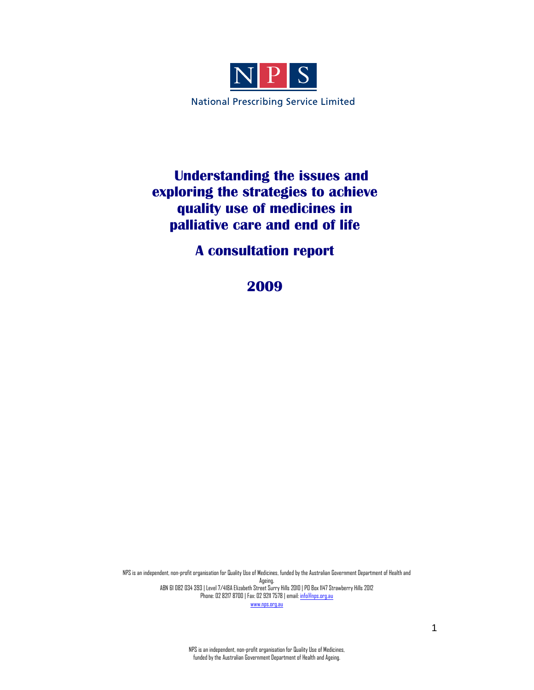

# **Understanding the issues and exploring the strategies to achieve quality use of medicines in palliative care and end of life**

**A consultation report** 

**2009** 

NPS is an independent, non-profit organisation for Quality Use of Medicines, funded by the Australian Government Department of Health and Ageing. ABN 61 082 034 393 | Level 7/418A Elizabeth Street Surry Hills 2010 | PO Box 1147 Strawberry Hills 2012 Phone: 02 8217 8700 | Fax: 02 9211 7578 | email: info@nps.org.au www.nps.org.au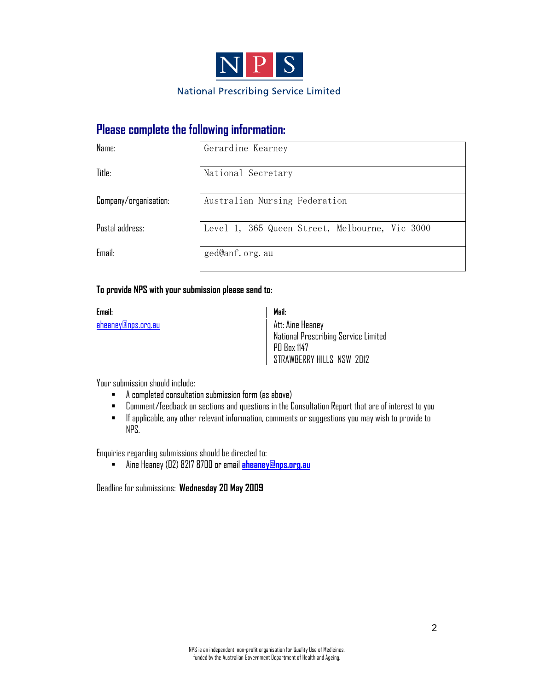

## **Please complete the following information:**

| Name:                 | Gerardine Kearney                              |
|-----------------------|------------------------------------------------|
| Title:                | National Secretary                             |
| Company/organisation: | Australian Nursing Federation                  |
| Postal address:       | Level 1, 365 Queen Street, Melbourne, Vic 3000 |
| Email:                | ged@anf.org.au                                 |

#### **To provide NPS with your submission please send to:**

| Email:             | Mail:                                |
|--------------------|--------------------------------------|
| aheaney@nps.org.au | Att: Aine Heaney                     |
|                    | National Prescribing Service Limited |
|                    | PO Box 1147                          |
|                    | STRAWBERRY HILLS NSW 2012            |

Your submission should include:

- A completed consultation submission form (as above)
- Comment/feedback on sections and questions in the Consultation Report that are of interest to you
- If applicable, any other relevant information, comments or suggestions you may wish to provide to NPS.

Enquiries regarding submissions should be directed to:

Aine Heaney (02) 8217 8700 or email **aheaney@nps.org.au**

Deadline for submissions: **Wednesday 20 May 2009**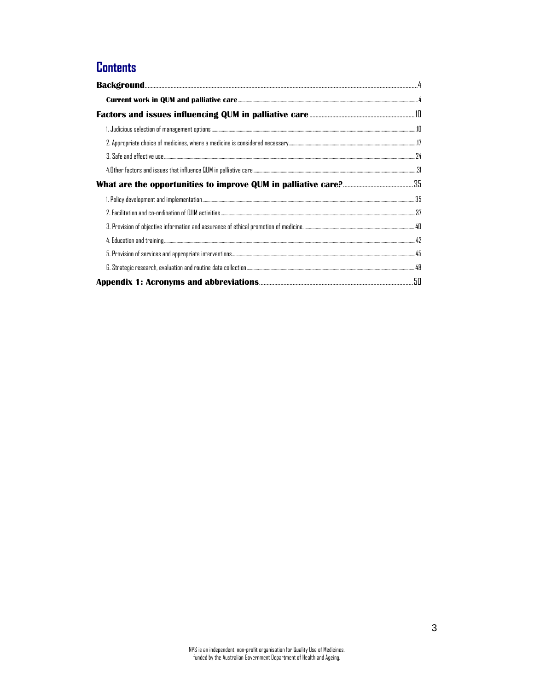# **Contents**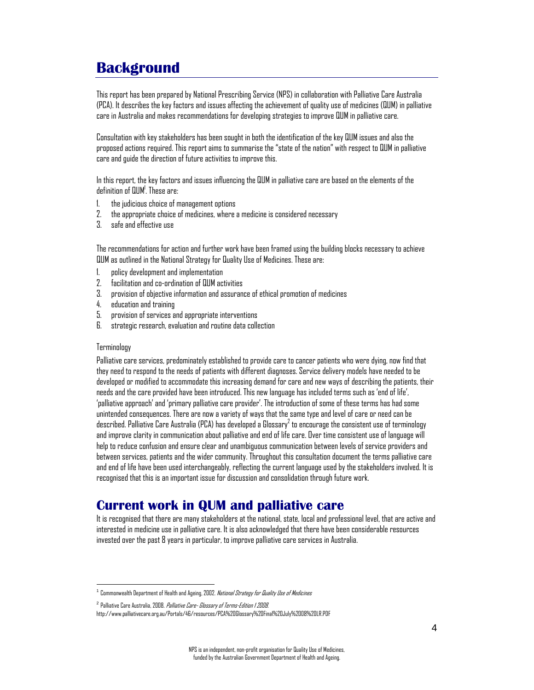# **Background**

This report has been prepared by National Prescribing Service (NPS) in collaboration with Palliative Care Australia (PCA). It describes the key factors and issues affecting the achievement of quality use of medicines (QUM) in palliative care in Australia and makes recommendations for developing strategies to improve QUM in palliative care.

Consultation with key stakeholders has been sought in both the identification of the key QUM issues and also the proposed actions required. This report aims to summarise the "state of the nation" with respect to QUM in palliative care and guide the direction of future activities to improve this.

In this report, the key factors and issues influencing the QUM in palliative care are based on the elements of the definition of QUM<sup>I</sup>. These are:

- 1. the judicious choice of management options
- 2. the appropriate choice of medicines, where a medicine is considered necessary
- 3. safe and effective use

The recommendations for action and further work have been framed using the building blocks necessary to achieve QUM as outlined in the National Strategy for Quality Use of Medicines. These are:

- 1. policy development and implementation
- 2. facilitation and co-ordination of QUM activities
- 3. provision of objective information and assurance of ethical promotion of medicines
- 4. education and training
- 5. provision of services and appropriate interventions
- 6. strategic research, evaluation and routine data collection

#### **Terminology**

 $\overline{a}$ 

Palliative care services, predominately established to provide care to cancer patients who were dying, now find that they need to respond to the needs of patients with different diagnoses. Service delivery models have needed to be developed or modified to accommodate this increasing demand for care and new ways of describing the patients, their needs and the care provided have been introduced. This new language has included terms such as 'end of life', 'palliative approach' and 'primary palliative care provider'. The introduction of some of these terms has had some unintended consequences. There are now a variety of ways that the same type and level of care or need can be described. Palliative Care Australia (PCA) has developed a Glossary $^2$  to encourage the consistent use of terminology and improve clarity in communication about palliative and end of life care. Over time consistent use of language will help to reduce confusion and ensure clear and unambiguous communication between levels of service providers and between services, patients and the wider community. Throughout this consultation document the terms palliative care and end of life have been used interchangeably, reflecting the current language used by the stakeholders involved. It is recognised that this is an important issue for discussion and consolidation through future work.

#### **Current work in QUM and palliative care**

It is recognised that there are many stakeholders at the national, state, local and professional level, that are active and interested in medicine use in palliative care. It is also acknowledged that there have been considerable resources invested over the past 8 years in particular, to improve palliative care services in Australia.

<sup>&</sup>lt;sup>1</sup> Commonwealth Department of Health and Ageing, 2002. *National Strategy for Quality Use of Medicines* 

<sup>&</sup>lt;sup>2</sup> Palliative Care Australia, 2008. Palliative Care- Glossary of Terms-Edition | 2008.

http://www.palliativecare.org.au/Portals/46/resources/PCA%20Glossary%20Final%20July%2008%20LR.PDF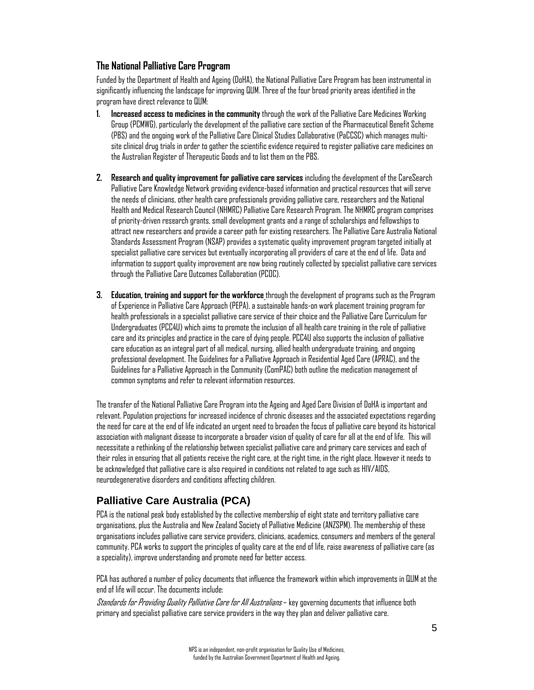#### **The National Palliative Care Program**

Funded by the Department of Health and Ageing (DoHA), the National Palliative Care Program has been instrumental in significantly influencing the landscape for improving QUM. Three of the four broad priority areas identified in the program have direct relevance to QUM:

- **1. Increased access to medicines in the community** through the work of the Palliative Care Medicines Working Group (PCMWG), particularly the development of the palliative care section of the Pharmaceutical Benefit Scheme (PBS) and the ongoing work of the Palliative Care Clinical Studies Collaborative (PaCCSC) which manages multisite clinical drug trials in order to gather the scientific evidence required to register palliative care medicines on the Australian Register of Therapeutic Goods and to list them on the PBS.
- **2. Research and quality improvement for palliative care services** including the development of the CareSearch Palliative Care Knowledge Network providing evidence-based information and practical resources that will serve the needs of clinicians, other health care professionals providing palliative care, researchers and the National Health and Medical Research Council (NHMRC) Palliative Care Research Program. The NHMRC program comprises of priority-driven research grants, small development grants and a range of scholarships and fellowships to attract new researchers and provide a career path for existing researchers. The Palliative Care Australia National Standards Assessment Program (NSAP) provides a systematic quality improvement program targeted initially at specialist palliative care services but eventually incorporating all providers of care at the end of life. Data and information to support quality improvement are now being routinely collected by specialist palliative care services through the Palliative Care Outcomes Collaboration (PCOC).
- **3. Education, training and support for the workforce** through the development of programs such as the Program of Experience in Palliative Care Approach (PEPA), a sustainable hands-on work placement training program for health professionals in a specialist palliative care service of their choice and the Palliative Care Curriculum for Undergraduates (PCC4U) which aims to promote the inclusion of all health care training in the role of palliative care and its principles and practice in the care of dying people. PCC4U also supports the inclusion of palliative care education as an integral part of all medical, nursing, allied health undergraduate training, and ongoing professional development. The Guidelines for a Palliative Approach in Residential Aged Care (APRAC), and the Guidelines for a Palliative Approach in the Community (ComPAC) both outline the medication management of common symptoms and refer to relevant information resources.

The transfer of the National Palliative Care Program into the Ageing and Aged Care Division of DoHA is important and relevant. Population projections for increased incidence of chronic diseases and the associated expectations regarding the need for care at the end of life indicated an urgent need to broaden the focus of palliative care beyond its historical association with malignant disease to incorporate a broader vision of quality of care for all at the end of life. This will necessitate a rethinking of the relationship between specialist palliative care and primary care services and each of their roles in ensuring that all patients receive the right care, at the right time, in the right place. However it needs to be acknowledged that palliative care is also required in conditions not related to age such as HIV/AIDS, neurodegenerative disorders and conditions affecting children.

#### **Palliative Care Australia (PCA)**

PCA is the national peak body established by the collective membership of eight state and territory palliative care organisations, plus the Australia and New Zealand Society of Palliative Medicine (ANZSPM). The membership of these organisations includes palliative care service providers, clinicians, academics, consumers and members of the general community. PCA works to support the principles of quality care at the end of life, raise awareness of palliative care (as a speciality), improve understanding and promote need for better access.

PCA has authored a number of policy documents that influence the framework within which improvements in QUM at the end of life will occur. The documents include:

Standards for Providing Quality Palliative Care for All Australians – key governing documents that influence both primary and specialist palliative care service providers in the way they plan and deliver palliative care.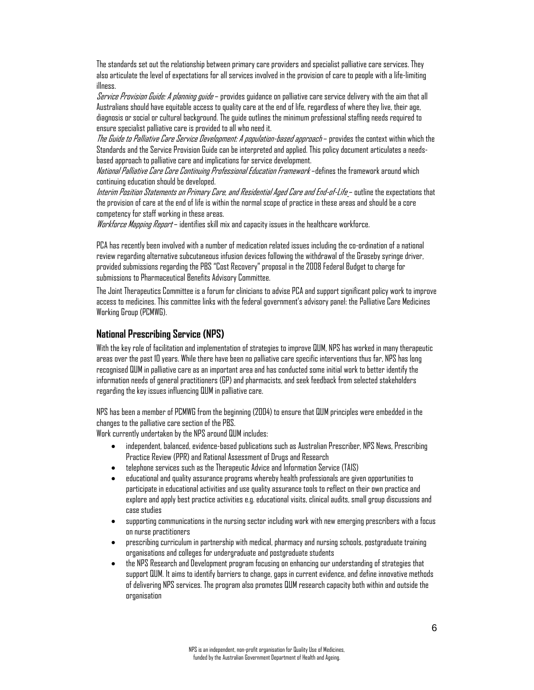The standards set out the relationship between primary care providers and specialist palliative care services. They also articulate the level of expectations for all services involved in the provision of care to people with a life-limiting illness.

Service Provision Guide: A planning quide – provides quidance on palliative care service delivery with the aim that all Australians should have equitable access to quality care at the end of life, regardless of where they live, their age, diagnosis or social or cultural background. The guide outlines the minimum professional staffing needs required to ensure specialist palliative care is provided to all who need it.

The Guide to Palliative Care Service Development: A population-based approach – provides the context within which the Standards and the Service Provision Guide can be interpreted and applied. This policy document articulates a needsbased approach to palliative care and implications for service development.

National Palliative Care Core Continuing Professional Education Framework –defines the framework around which continuing education should be developed.

Interim Position Statements on Primary Care, and Residential Aged Care and End-of-Life – outline the expectations that the provision of care at the end of life is within the normal scope of practice in these areas and should be a core competency for staff working in these areas.

Workforce Mapping Report – identifies skill mix and capacity issues in the healthcare workforce.

PCA has recently been involved with a number of medication related issues including the co-ordination of a national review regarding alternative subcutaneous infusion devices following the withdrawal of the Graseby syringe driver, provided submissions regarding the PBS "Cost Recovery" proposal in the 2008 Federal Budget to charge for submissions to Pharmaceutical Benefits Advisory Committee.

The Joint Therapeutics Committee is a forum for clinicians to advise PCA and support significant policy work to improve access to medicines. This committee links with the federal government's advisory panel: the Palliative Care Medicines Working Group (PCMWG).

#### **National Prescribing Service (NPS)**

With the key role of facilitation and implementation of strategies to improve QUM, NPS has worked in many therapeutic areas over the past 10 years. While there have been no palliative care specific interventions thus far, NPS has long recognised QUM in palliative care as an important area and has conducted some initial work to better identify the information needs of general practitioners (GP) and pharmacists, and seek feedback from selected stakeholders regarding the key issues influencing QUM in palliative care.

NPS has been a member of PCMWG from the beginning (2004) to ensure that QUM principles were embedded in the changes to the palliative care section of the PBS.

Work currently undertaken by the NPS around QUM includes:

- independent, balanced, evidence-based publications such as Australian Prescriber, NPS News, Prescribing Practice Review (PPR) and Rational Assessment of Drugs and Research
- telephone services such as the Therapeutic Advice and Information Service (TAIS)
- educational and quality assurance programs whereby health professionals are given opportunities to participate in educational activities and use quality assurance tools to reflect on their own practice and explore and apply best practice activities e.g. educational visits, clinical audits, small group discussions and case studies
- supporting communications in the nursing sector including work with new emerging prescribers with a focus on nurse practitioners
- prescribing curriculum in partnership with medical, pharmacy and nursing schools, postgraduate training organisations and colleges for undergraduate and postgraduate students
- the NPS Research and Development program focusing on enhancing our understanding of strategies that support QUM. It aims to identify barriers to change, gaps in current evidence, and define innovative methods of delivering NPS services. The program also promotes QUM research capacity both within and outside the organisation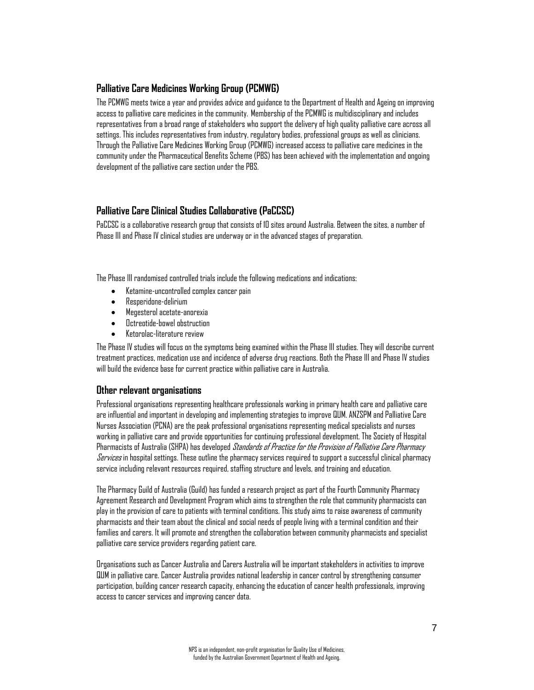#### **Palliative Care Medicines Working Group (PCMWG)**

The PCMWG meets twice a year and provides advice and guidance to the Department of Health and Ageing on improving access to palliative care medicines in the community. Membership of the PCMWG is multidisciplinary and includes representatives from a broad range of stakeholders who support the delivery of high quality palliative care across all settings. This includes representatives from industry, regulatory bodies, professional groups as well as clinicians. Through the Palliative Care Medicines Working Group (PCMWG) increased access to palliative care medicines in the community under the Pharmaceutical Benefits Scheme (PBS) has been achieved with the implementation and ongoing development of the palliative care section under the PBS.

#### **Palliative Care Clinical Studies Collaborative (PaCCSC)**

PaCCSC is a collaborative research group that consists of 10 sites around Australia. Between the sites, a number of Phase III and Phase IV clinical studies are underway or in the advanced stages of preparation.

The Phase III randomised controlled trials include the following medications and indications:

- Ketamine-uncontrolled complex cancer pain
- Resperidone-delirium
- Megesterol acetate-anorexia
- Octreotide-bowel obstruction
- Ketorolac-literature review

The Phase IV studies will focus on the symptoms being examined within the Phase III studies. They will describe current treatment practices, medication use and incidence of adverse drug reactions. Both the Phase III and Phase IV studies will build the evidence base for current practice within palliative care in Australia.

#### **Other relevant organisations**

Professional organisations representing healthcare professionals working in primary health care and palliative care are influential and important in developing and implementing strategies to improve QUM. ANZSPM and Palliative Care Nurses Association (PCNA) are the peak professional organisations representing medical specialists and nurses working in palliative care and provide opportunities for continuing professional development. The Society of Hospital Pharmacists of Australia (SHPA) has developed *Standards of Practice for the Provision of Palliative Care Pharmacy* Services in hospital settings. These outline the pharmacy services required to support a successful clinical pharmacy service including relevant resources required, staffing structure and levels, and training and education.

The Pharmacy Guild of Australia (Guild) has funded a research project as part of the Fourth Community Pharmacy Agreement Research and Development Program which aims to strengthen the role that community pharmacists can play in the provision of care to patients with terminal conditions. This study aims to raise awareness of community pharmacists and their team about the clinical and social needs of people living with a terminal condition and their families and carers. It will promote and strengthen the collaboration between community pharmacists and specialist palliative care service providers regarding patient care.

Organisations such as Cancer Australia and Carers Australia will be important stakeholders in activities to improve QUM in palliative care. Cancer Australia provides national leadership in cancer control by strengthening consumer participation, building cancer research capacity, enhancing the education of cancer health professionals, improving access to cancer services and improving cancer data.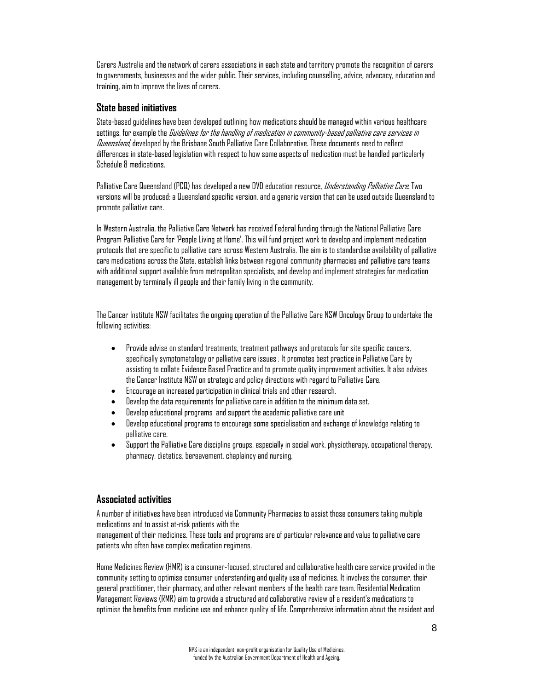Carers Australia and the network of carers associations in each state and territory promote the recognition of carers to governments, businesses and the wider public. Their services, including counselling, advice, advocacy, education and training, aim to improve the lives of carers.

#### **State based initiatives**

State-based guidelines have been developed outlining how medications should be managed within various healthcare settings, for example the *Guidelines for the handling of medication in community-based palliative care services in Queensland*, developed by the Brisbane South Palliative Care Collaborative. These documents need to reflect differences in state-based legislation with respect to how some aspects of medication must be handled particularly Schedule 8 medications.

Palliative Care Queensland (PCQ) has developed a new DVD education resource, *Understanding Palliative Care*. Two versions will be produced: a Queensland specific version, and a generic version that can be used outside Queensland to promote palliative care.

In Western Australia, the Palliative Care Network has received Federal funding through the National Palliative Care Program Palliative Care for 'People Living at Home'. This will fund project work to develop and implement medication protocols that are specific to palliative care across Western Australia. The aim is to standardise availability of palliative care medications across the State, establish links between regional community pharmacies and palliative care teams with additional support available from metropolitan specialists, and develop and implement strategies for medication management by terminally ill people and their family living in the community.

The Cancer Institute NSW facilitates the ongoing operation of the Palliative Care NSW Oncology Group to undertake the following activities:

- Provide advise on standard treatments, treatment pathways and protocols for site specific cancers, specifically symptomatology or palliative care issues . It promotes best practice in Palliative Care by assisting to collate Evidence Based Practice and to promote quality improvement activities. It also advises the Cancer Institute NSW on strategic and policy directions with regard to Palliative Care.
- Encourage an increased participation in clinical trials and other research.
- Develop the data requirements for palliative care in addition to the minimum data set.
- Develop educational programs and support the academic palliative care unit
- Develop educational programs to encourage some specialisation and exchange of knowledge relating to palliative care.
- Support the Palliative Care discipline groups, especially in social work, physiotherapy, occupational therapy, pharmacy, dietetics, bereavement, chaplaincy and nursing.

#### **Associated activities**

A number of initiatives have been introduced via Community Pharmacies to assist those consumers taking multiple medications and to assist at-risk patients with the

management of their medicines. These tools and programs are of particular relevance and value to palliative care patients who often have complex medication regimens.

Home Medicines Review (HMR) is a consumer-focused, structured and collaborative health care service provided in the community setting to optimise consumer understanding and quality use of medicines. It involves the consumer, their general practitioner, their pharmacy, and other relevant members of the health care team. Residential Medication Management Reviews (RMR) aim to provide a structured and collaborative review of a resident's medications to optimise the benefits from medicine use and enhance quality of life. Comprehensive information about the resident and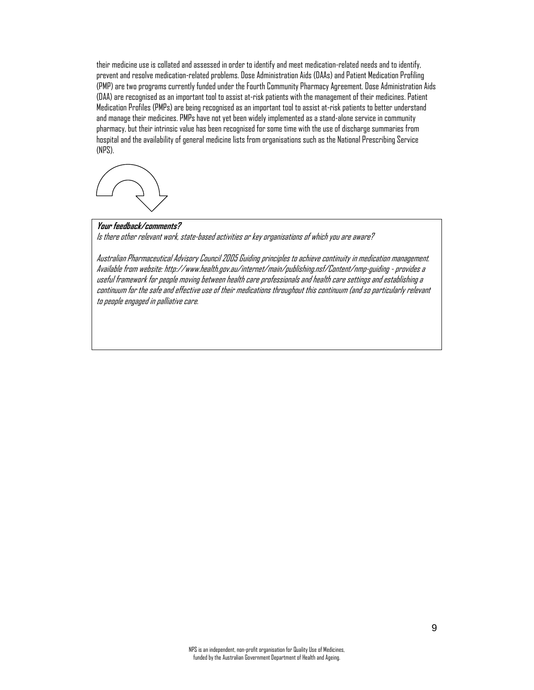their medicine use is collated and assessed in order to identify and meet medication-related needs and to identify, prevent and resolve medication-related problems. Dose Administration Aids (DAAs) and Patient Medication Profiling (PMP) are two programs currently funded under the Fourth Community Pharmacy Agreement. Dose Administration Aids (DAA) are recognised as an important tool to assist at-risk patients with the management of their medicines. Patient Medication Profiles (PMPs) are being recognised as an important tool to assist at-risk patients to better understand and manage their medicines. PMPs have not yet been widely implemented as a stand-alone service in community pharmacy, but their intrinsic value has been recognised for some time with the use of discharge summaries from hospital and the availability of general medicine lists from organisations such as the National Prescribing Service (NPS).

**Your feedback/comments?**  Is there other relevant work, state-based activities or key organisations of which you are aware?

Australian Pharmaceutical Advisory Council 2005 Guiding principles to achieve continuity in medication management. Available from website: http://www.health.gov.au/internet/main/publishing.nsf/Content/nmp-guiding - provides a useful framework for people moving between health care professionals and health care settings and establishing a continuum for the safe and effective use of their medications throughout this continuum (and so particularly relevant to people engaged in palliative care.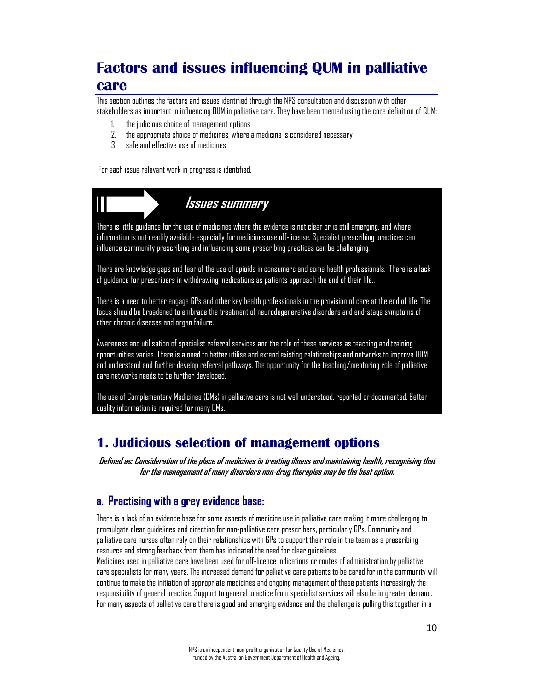# **Factors and issues influencing QUM in palliative care**

This section outlines the factors and issues identified through the NPS consultation and discussion with other stakeholders as important in influencing QUM in palliative care. They have been themed using the core definition of QUM:

- 1. the judicious choice of management options
- 2. the appropriate choice of medicines, where a medicine is considered necessary
- 3. safe and effective use of medicines

For each issue relevant work in progress is identified.



# **Issues summary**

There is little guidance for the use of medicines where the evidence is not clear or is still emerging, and where information is not readily available especially for medicines use off-license. Specialist prescribing practices can influence community prescribing and influencing some prescribing practices can be challenging.

There are knowledge gaps and fear of the use of opioids in consumers and some health professionals. There is a lack of guidance for prescribers in withdrawing medications as patients approach the end of their life..

There is a need to better engage GPs and other key health professionals in the provision of care at the end of life. The focus should be broadened to embrace the treatment of neurodegenerative disorders and end-stage symptoms of other chronic diseases and organ failure.

Awareness and utilisation of specialist referral services and the role of these services as teaching and training opportunities varies. There is a need to better utilise and extend existing relationships and networks to improve QUM and understand and further develop referral pathways. The opportunity for the teaching/mentoring role of palliative care networks needs to be further developed.

The use of Complementary Medicines (CMs) in palliative care is not well understood, reported or documented. Better quality information is required for many CMs.

## **1. Judicious selection of management options**

**Defined as: Consideration of the place of medicines in treating illness and maintaining health, recognising that for the management of many disorders non-drug therapies may be the best option.** 

#### **a. Practising with a grey evidence base:**

There is a lack of an evidence base for some aspects of medicine use in palliative care making it more challenging to promulgate clear guidelines and direction for non-palliative care prescribers, particularly GPs. Community and palliative care nurses often rely on their relationships with GPs to support their role in the team as a prescribing resource and strong feedback from them has indicated the need for clear guidelines.

Medicines used in palliative care have been used for off-licence indications or routes of administration by palliative care specialists for many years. The increased demand for palliative care patients to be cared for in the community will continue to make the initiation of appropriate medicines and ongoing management of these patients increasingly the responsibility of general practice. Support to general practice from specialist services will also be in greater demand. For many aspects of palliative care there is good and emerging evidence and the challenge is pulling this together in a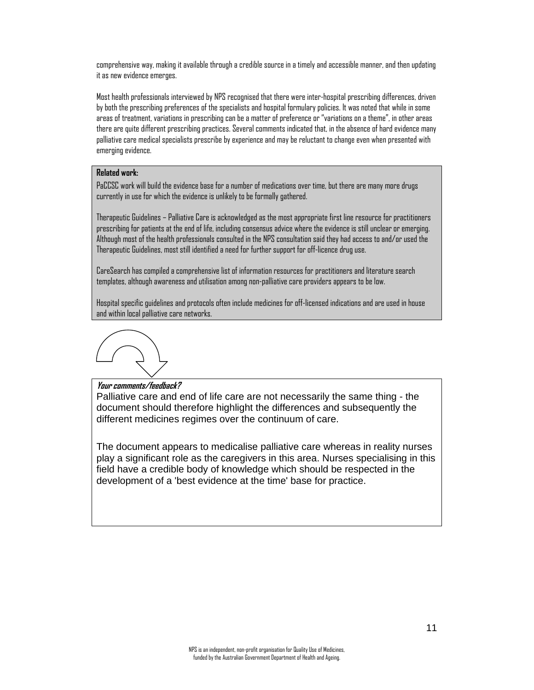comprehensive way, making it available through a credible source in a timely and accessible manner, and then updating it as new evidence emerges.

Most health professionals interviewed by NPS recognised that there were inter-hospital prescribing differences, driven by both the prescribing preferences of the specialists and hospital formulary policies. It was noted that while in some areas of treatment, variations in prescribing can be a matter of preference or "variations on a theme", in other areas there are quite different prescribing practices. Several comments indicated that, in the absence of hard evidence many palliative care medical specialists prescribe by experience and may be reluctant to change even when presented with emerging evidence.

#### **Related work:**

PaCCSC work will build the evidence base for a number of medications over time, but there are many more drugs currently in use for which the evidence is unlikely to be formally gathered.

Therapeutic Guidelines – Palliative Care is acknowledged as the most appropriate first line resource for practitioners prescribing for patients at the end of life, including consensus advice where the evidence is still unclear or emerging. Although most of the health professionals consulted in the NPS consultation said they had access to and/or used the Therapeutic Guidelines, most still identified a need for further support for off-licence drug use.

CareSearch has compiled a comprehensive list of information resources for practitioners and literature search templates, although awareness and utilisation among non-palliative care providers appears to be low.

Hospital specific guidelines and protocols often include medicines for off-licensed indications and are used in house and within local palliative care networks.



**Your comments/feedback?** 

Palliative care and end of life care are not necessarily the same thing - the document should therefore highlight the differences and subsequently the different medicines regimes over the continuum of care.

The document appears to medicalise palliative care whereas in reality nurses play a significant role as the caregivers in this area. Nurses specialising in this field have a credible body of knowledge which should be respected in the development of a 'best evidence at the time' base for practice.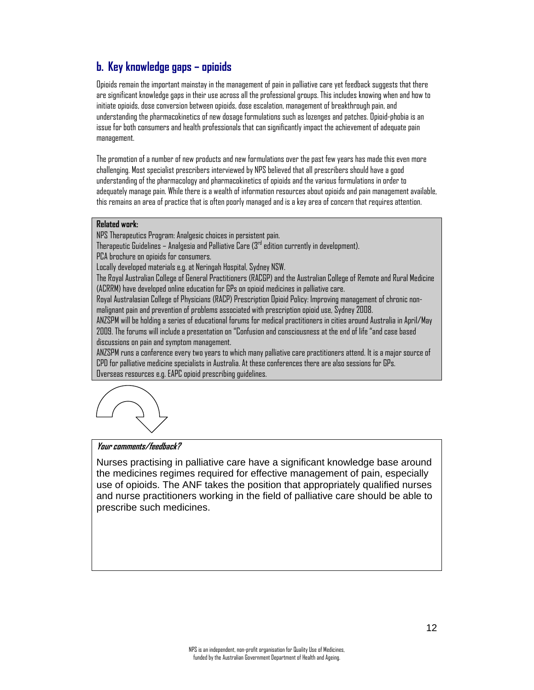## **b. Key knowledge gaps – opioids**

Opioids remain the important mainstay in the management of pain in palliative care yet feedback suggests that there are significant knowledge gaps in their use across all the professional groups. This includes knowing when and how to initiate opioids, dose conversion between opioids, dose escalation, management of breakthrough pain, and understanding the pharmacokinetics of new dosage formulations such as lozenges and patches. Opioid-phobia is an issue for both consumers and health professionals that can significantly impact the achievement of adequate pain management.

The promotion of a number of new products and new formulations over the past few years has made this even more challenging. Most specialist prescribers interviewed by NPS believed that all prescribers should have a good understanding of the pharmacology and pharmacokinetics of opioids and the various formulations in order to adequately manage pain. While there is a wealth of information resources about opioids and pain management available, this remains an area of practice that is often poorly managed and is a key area of concern that requires attention.

#### **Related work:**

NPS Therapeutics Program: Analgesic choices in persistent pain.

- Therapeutic Guidelines Analgesia and Palliative Care  $G<sup>rd</sup>$  edition currently in development).
- PCA brochure on opioids for consumers.

Locally developed materials e.g. at Neringah Hospital, Sydney NSW.

The Royal Australian College of General Practitioners (RACGP) and the Australian College of Remote and Rural Medicine (ACRRM) have developed online education for GPs on opioid medicines in palliative care.

Royal Australasian College of Physicians (RACP) Prescription Opioid Policy: Improving management of chronic nonmalignant pain and prevention of problems associated with prescription opioid use, Sydney 2008.

ANZSPM will be holding a series of educational forums for medical practitioners in cities around Australia in April/May 2009. The forums will include a presentation on "Confusion and consciousness at the end of life "and case based discussions on pain and symptom management.

ANZSPM runs a conference every two years to which many palliative care practitioners attend. It is a major source of CPD for palliative medicine specialists in Australia. At these conferences there are also sessions for GPs. Overseas resources e.g. EAPC opioid prescribing guidelines.

#### **Your comments/feedback?**

Nurses practising in palliative care have a significant knowledge base around the medicines regimes required for effective management of pain, especially use of opioids. The ANF takes the position that appropriately qualified nurses and nurse practitioners working in the field of palliative care should be able to prescribe such medicines.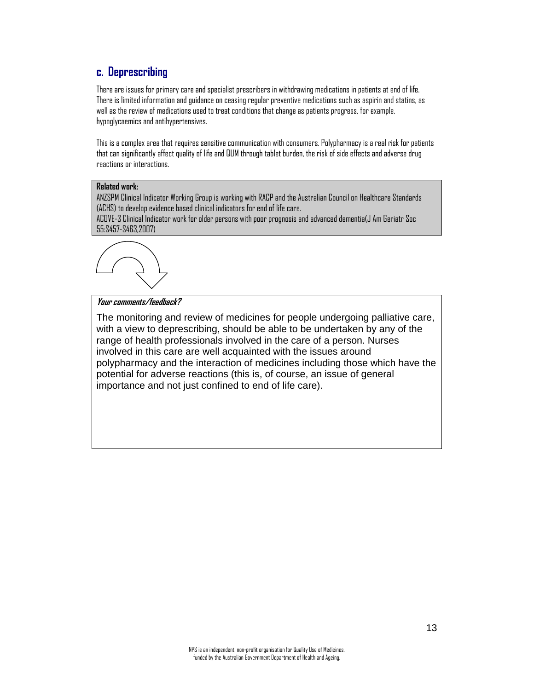## **c. Deprescribing**

There are issues for primary care and specialist prescribers in withdrawing medications in patients at end of life. There is limited information and guidance on ceasing regular preventive medications such as aspirin and statins, as well as the review of medications used to treat conditions that change as patients progress, for example, hypoglycaemics and antihypertensives.

This is a complex area that requires sensitive communication with consumers. Polypharmacy is a real risk for patients that can significantly affect quality of life and QUM through tablet burden, the risk of side effects and adverse drug reactions or interactions.

#### **Related work:**

ANZSPM Clinical Indicator Working Group is working with RACP and the Australian Council on Healthcare Standards (ACHS) to develop evidence based clinical indicators for end of life care.

ACOVE-3 Clinical Indicator work for older persons with poor prognosis and advanced dementia(J Am Geriatr Soc 55:S457-S463,2007)



**Your comments/feedback?** 

The monitoring and review of medicines for people undergoing palliative care, with a view to deprescribing, should be able to be undertaken by any of the range of health professionals involved in the care of a person. Nurses involved in this care are well acquainted with the issues around polypharmacy and the interaction of medicines including those which have the potential for adverse reactions (this is, of course, an issue of general importance and not just confined to end of life care).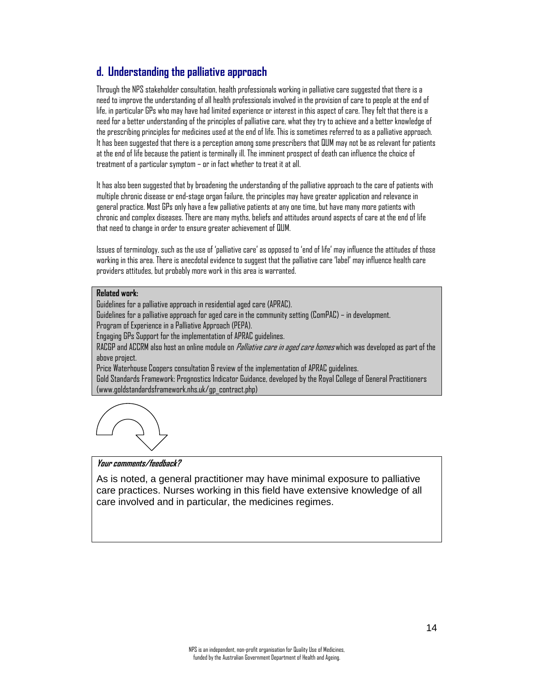## **d. Understanding the palliative approach**

Through the NPS stakeholder consultation, health professionals working in palliative care suggested that there is a need to improve the understanding of all health professionals involved in the provision of care to people at the end of life, in particular GPs who may have had limited experience or interest in this aspect of care. They felt that there is a need for a better understanding of the principles of palliative care, what they try to achieve and a better knowledge of the prescribing principles for medicines used at the end of life. This is sometimes referred to as a palliative approach. It has been suggested that there is a perception among some prescribers that QUM may not be as relevant for patients at the end of life because the patient is terminally ill. The imminent prospect of death can influence the choice of treatment of a particular symptom – or in fact whether to treat it at all.

It has also been suggested that by broadening the understanding of the palliative approach to the care of patients with multiple chronic disease or end-stage organ failure, the principles may have greater application and relevance in general practice. Most GPs only have a few palliative patients at any one time, but have many more patients with chronic and complex diseases. There are many myths, beliefs and attitudes around aspects of care at the end of life that need to change in order to ensure greater achievement of QUM.

Issues of terminology, such as the use of 'palliative care' as opposed to 'end of life' may influence the attitudes of those working in this area. There is anecdotal evidence to suggest that the palliative care 'label' may influence health care providers attitudes, but probably more work in this area is warranted.

#### **Related work:**

Guidelines for a palliative approach in residential aged care (APRAC). Guidelines for a palliative approach for aged care in the community setting (ComPAC) – in development. Program of Experience in a Palliative Approach (PEPA). Engaging GPs Support for the implementation of APRAC guidelines. RACGP and ACCRM also host an online module on *Palliative care in aged care homes* which was developed as part of the above project. Price Waterhouse Coopers consultation & review of the implementation of APRAC guidelines. Gold Standards Framework: Prognostics Indicator Guidance, developed by the Royal College of General Practitioners (www.goldstandardsframework.nhs.uk/gp\_contract.php)



**Your comments/feedback?** 

As is noted, a general practitioner may have minimal exposure to palliative care practices. Nurses working in this field have extensive knowledge of all care involved and in particular, the medicines regimes.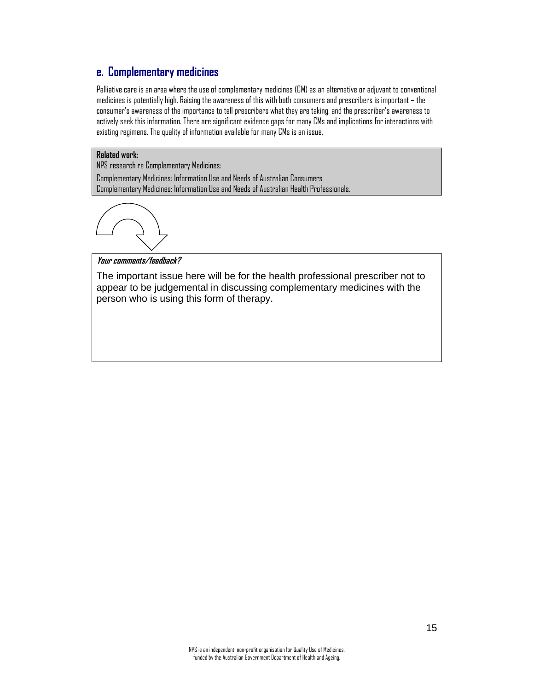#### **e. Complementary medicines**

Palliative care is an area where the use of complementary medicines (CM) as an alternative or adjuvant to conventional medicines is potentially high. Raising the awareness of this with both consumers and prescribers is important – the consumer's awareness of the importance to tell prescribers what they are taking, and the prescriber's awareness to actively seek this information. There are significant evidence gaps for many CMs and implications for interactions with existing regimens. The quality of information available for many CMs is an issue.

#### **Related work:**

NPS research re Complementary Medicines:

Complementary Medicines: Information Use and Needs of Australian Consumers Complementary Medicines: Information Use and Needs of Australian Health Professionals.



**Your comments/feedback?** 

The important issue here will be for the health professional prescriber not to appear to be judgemental in discussing complementary medicines with the person who is using this form of therapy.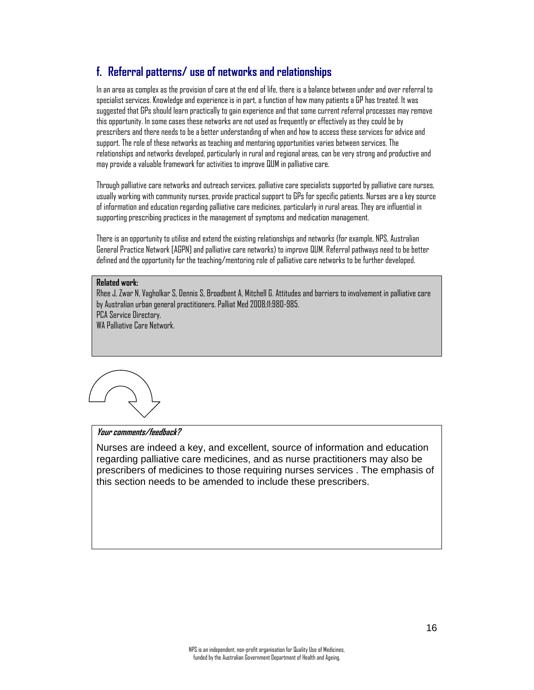## **f. Referral patterns/ use of networks and relationships**

In an area as complex as the provision of care at the end of life, there is a balance between under and over referral to specialist services. Knowledge and experience is in part, a function of how many patients a GP has treated. It was suggested that GPs should learn practically to gain experience and that some current referral processes may remove this opportunity. In some cases these networks are not used as frequently or effectively as they could be by prescribers and there needs to be a better understanding of when and how to access these services for advice and support. The role of these networks as teaching and mentoring opportunities varies between services. The relationships and networks developed, particularly in rural and regional areas, can be very strong and productive and may provide a valuable framework for activities to improve QUM in palliative care.

Through palliative care networks and outreach services, palliative care specialists supported by palliative care nurses, usually working with community nurses, provide practical support to GPs for specific patients. Nurses are a key source of information and education regarding palliative care medicines, particularly in rural areas. They are influential in supporting prescribing practices in the management of symptoms and medication management.

There is an opportunity to utilise and extend the existing relationships and networks (for example, NPS, Australian General Practice Network [AGPN] and palliative care networks) to improve QUM. Referral pathways need to be better defined and the opportunity for the teaching/mentoring role of palliative care networks to be further developed.

#### **Related work:**

Rhee J, Zwar N, Vagholkar S, Dennis S, Broadbent A, Mitchell G. Attitudes and barriers to involvement in palliative care by Australian urban general practitioners. Palliat Med 2008;11:980-985. PCA Service Directory. WA Palliative Care Network.



**Your comments/feedback?** 

Nurses are indeed a key, and excellent, source of information and education regarding palliative care medicines, and as nurse practitioners may also be prescribers of medicines to those requiring nurses services . The emphasis of this section needs to be amended to include these prescribers.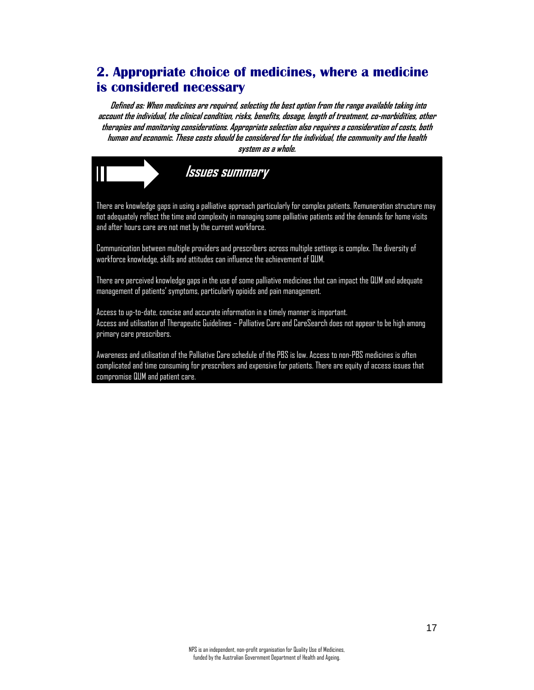# **2. Appropriate choice of medicines, where a medicine is considered necessary**

**Defined as: When medicines are required, selecting the best option from the range available taking into account the individual, the clinical condition, risks, benefits, dosage, length of treatment, co-morbidities, other therapies and monitoring considerations. Appropriate selection also requires a consideration of costs, both human and economic. These costs should be considered for the individual, the community and the health system as a whole.** 

There are knowledge gaps in using a palliative approach particularly for complex patients. Remuneration structure may not adequately reflect the time and complexity in managing some palliative patients and the demands for home visits and after hours care are not met by the current workforce.

Communication between multiple providers and prescribers across multiple settings is complex. The diversity of workforce knowledge, skills and attitudes can influence the achievement of QUM.

 **Issues summary** 

There are perceived knowledge gaps in the use of some palliative medicines that can impact the QUM and adequate management of patients' symptoms, particularly opioids and pain management.

Access to up-to-date, concise and accurate information in a timely manner is important. Access and utilisation of Therapeutic Guidelines – Palliative Care and CareSearch does not appear to be high among primary care prescribers.

Awareness and utilisation of the Palliative Care schedule of the PBS is low. Access to non-PBS medicines is often complicated and time consuming for prescribers and expensive for patients. There are equity of access issues that compromise QUM and patient care.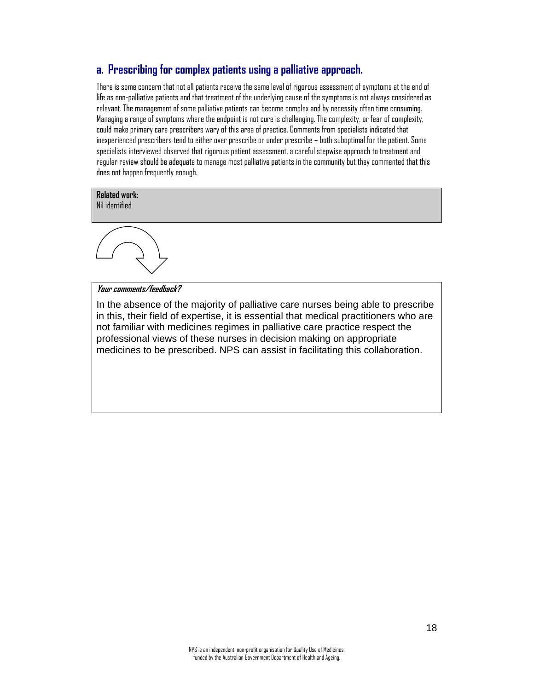#### **a. Prescribing for complex patients using a palliative approach.**

There is some concern that not all patients receive the same level of rigorous assessment of symptoms at the end of life as non-palliative patients and that treatment of the underlying cause of the symptoms is not always considered as relevant. The management of some palliative patients can become complex and by necessity often time consuming. Managing a range of symptoms where the endpoint is not cure is challenging. The complexity, or fear of complexity, could make primary care prescribers wary of this area of practice. Comments from specialists indicated that inexperienced prescribers tend to either over prescribe or under prescribe – both suboptimal for the patient. Some specialists interviewed observed that rigorous patient assessment, a careful stepwise approach to treatment and regular review should be adequate to manage most palliative patients in the community but they commented that this does not happen frequently enough.

# **Related work:**  Nil identified

**Your comments/feedback?** 

In the absence of the majority of palliative care nurses being able to prescribe in this, their field of expertise, it is essential that medical practitioners who are not familiar with medicines regimes in palliative care practice respect the professional views of these nurses in decision making on appropriate medicines to be prescribed. NPS can assist in facilitating this collaboration.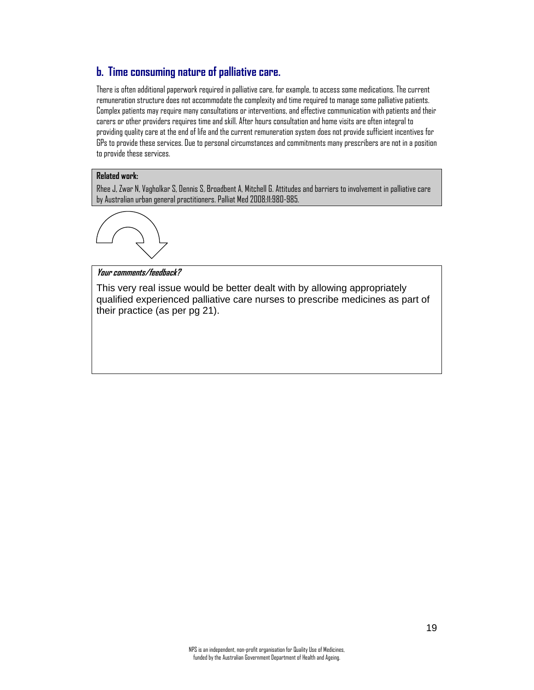#### **b. Time consuming nature of palliative care.**

There is often additional paperwork required in palliative care, for example, to access some medications. The current remuneration structure does not accommodate the complexity and time required to manage some palliative patients. Complex patients may require many consultations or interventions, and effective communication with patients and their carers or other providers requires time and skill. After hours consultation and home visits are often integral to providing quality care at the end of life and the current remuneration system does not provide sufficient incentives for GPs to provide these services. Due to personal circumstances and commitments many prescribers are not in a position to provide these services.

#### **Related work:**

Rhee J, Zwar N, Vagholkar S, Dennis S, Broadbent A, Mitchell G. Attitudes and barriers to involvement in palliative care by Australian urban general practitioners. Palliat Med 2008;11:980-985.



#### **Your comments/feedback?**

This very real issue would be better dealt with by allowing appropriately qualified experienced palliative care nurses to prescribe medicines as part of their practice (as per pg 21).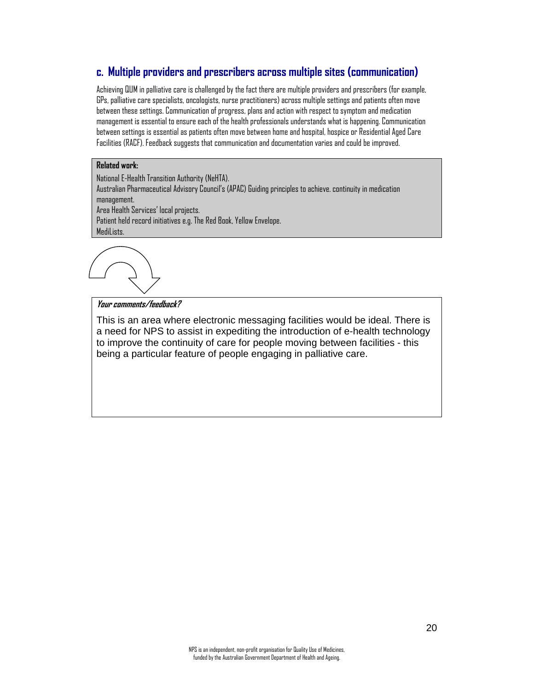## **c. Multiple providers and prescribers across multiple sites (communication)**

Achieving QUM in palliative care is challenged by the fact there are multiple providers and prescribers (for example, GPs, palliative care specialists, oncologists, nurse practitioners) across multiple settings and patients often move between these settings. Communication of progress, plans and action with respect to symptom and medication management is essential to ensure each of the health professionals understands what is happening. Communication between settings is essential as patients often move between home and hospital, hospice or Residential Aged Care Facilities (RACF). Feedback suggests that communication and documentation varies and could be improved.

#### **Related work:**

National E-Health Transition Authority (NeHTA).

Australian Pharmaceutical Advisory Council's (APAC) Guiding principles to achieve. continuity in medication management.

Area Health Services' local projects.

Patient held record initiatives e.g. The Red Book, Yellow Envelope.

MediLists.

**Your comments/feedback?** 

This is an area where electronic messaging facilities would be ideal. There is a need for NPS to assist in expediting the introduction of e-health technology to improve the continuity of care for people moving between facilities - this being a particular feature of people engaging in palliative care.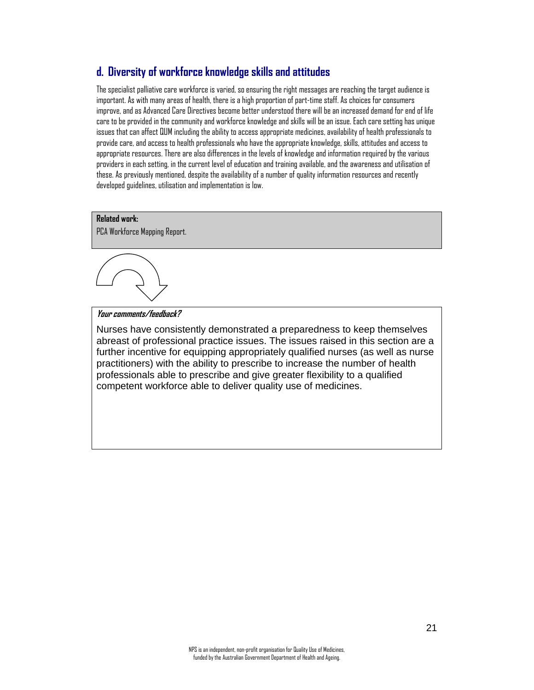## **d. Diversity of workforce knowledge skills and attitudes**

The specialist palliative care workforce is varied, so ensuring the right messages are reaching the target audience is important. As with many areas of health, there is a high proportion of part-time staff. As choices for consumers improve, and as Advanced Care Directives become better understood there will be an increased demand for end of life care to be provided in the community and workforce knowledge and skills will be an issue. Each care setting has unique issues that can affect QUM including the ability to access appropriate medicines, availability of health professionals to provide care, and access to health professionals who have the appropriate knowledge, skills, attitudes and access to appropriate resources. There are also differences in the levels of knowledge and information required by the various providers in each setting, in the current level of education and training available, and the awareness and utilisation of these. As previously mentioned, despite the availability of a number of quality information resources and recently developed guidelines, utilisation and implementation is low.



Nurses have consistently demonstrated a preparedness to keep themselves abreast of professional practice issues. The issues raised in this section are a further incentive for equipping appropriately qualified nurses (as well as nurse practitioners) with the ability to prescribe to increase the number of health professionals able to prescribe and give greater flexibility to a qualified competent workforce able to deliver quality use of medicines.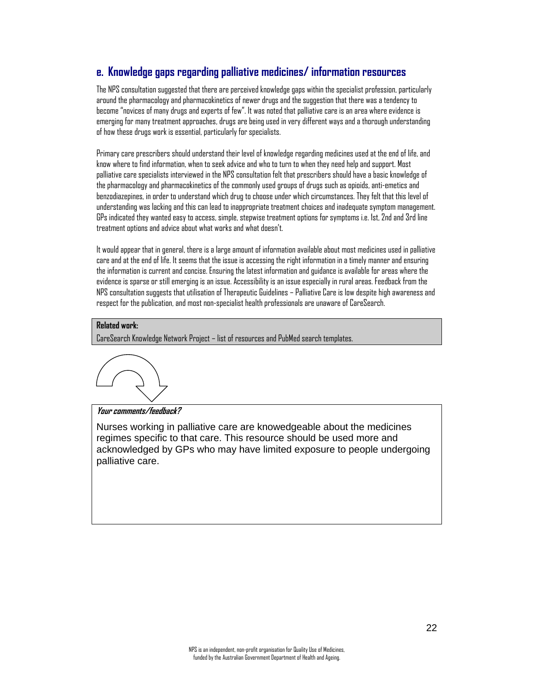#### **e. Knowledge gaps regarding palliative medicines/ information resources**

The NPS consultation suggested that there are perceived knowledge gaps within the specialist profession, particularly around the pharmacology and pharmacokinetics of newer drugs and the suggestion that there was a tendency to become "novices of many drugs and experts of few". It was noted that palliative care is an area where evidence is emerging for many treatment approaches, drugs are being used in very different ways and a thorough understanding of how these drugs work is essential, particularly for specialists.

Primary care prescribers should understand their level of knowledge regarding medicines used at the end of life, and know where to find information, when to seek advice and who to turn to when they need help and support. Most palliative care specialists interviewed in the NPS consultation felt that prescribers should have a basic knowledge of the pharmacology and pharmacokinetics of the commonly used groups of drugs such as opioids, anti-emetics and benzodiazepines, in order to understand which drug to choose under which circumstances. They felt that this level of understanding was lacking and this can lead to inappropriate treatment choices and inadequate symptom management. GPs indicated they wanted easy to access, simple, stepwise treatment options for symptoms i.e. 1st, 2nd and 3rd line treatment options and advice about what works and what doesn't.

It would appear that in general, there is a large amount of information available about most medicines used in palliative care and at the end of life. It seems that the issue is accessing the right information in a timely manner and ensuring the information is current and concise. Ensuring the latest information and guidance is available for areas where the evidence is sparse or still emerging is an issue. Accessibility is an issue especially in rural areas. Feedback from the NPS consultation suggests that utilisation of Therapeutic Guidelines – Palliative Care is low despite high awareness and respect for the publication, and most non-specialist health professionals are unaware of CareSearch.

#### **Related work:**

CareSearch Knowledge Network Project – list of resources and PubMed search templates.



**Your comments/feedback?** 

Nurses working in palliative care are knowedgeable about the medicines regimes specific to that care. This resource should be used more and acknowledged by GPs who may have limited exposure to people undergoing palliative care.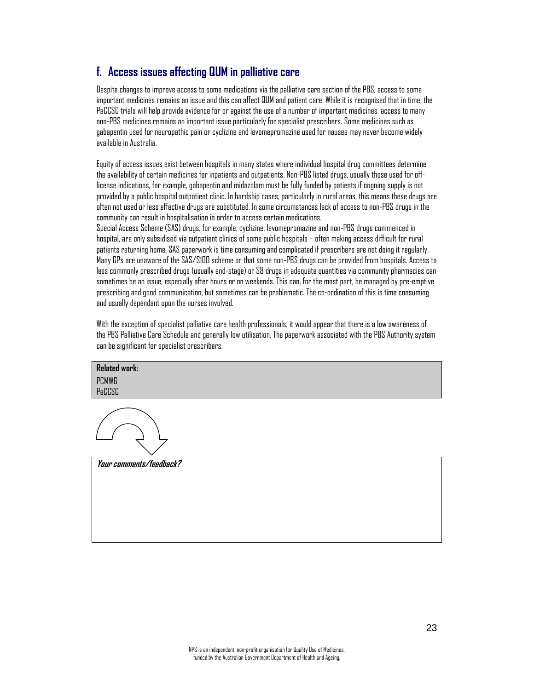## **f. Access issues affecting QUM in palliative care**

Despite changes to improve access to some medications via the palliative care section of the PBS, access to some important medicines remains an issue and this can affect QUM and patient care. While it is recognised that in time, the PaCCSC trials will help provide evidence for or against the use of a number of important medicines, access to many non-PBS medicines remains an important issue particularly for specialist prescribers. Some medicines such as gabapentin used for neuropathic pain or cyclizine and levomepromazine used for nausea may never become widely available in Australia.

Equity of access issues exist between hospitals in many states where individual hospital drug committees determine the availability of certain medicines for inpatients and outpatients. Non-PBS listed drugs, usually those used for offlicense indications, for example, gabapentin and midazolam must be fully funded by patients if ongoing supply is not provided by a public hospital outpatient clinic. In hardship cases, particularly in rural areas, this means these drugs are often not used or less effective drugs are substituted. In some circumstances lack of access to non-PBS drugs in the community can result in hospitalisation in order to access certain medications.

Special Access Scheme (SAS) drugs, for example, cyclizine, levomepromazine and non-PBS drugs commenced in hospital, are only subsidised via outpatient clinics of some public hospitals – often making access difficult for rural patients returning home. SAS paperwork is time consuming and complicated if prescribers are not doing it regularly. Many GPs are unaware of the SAS/S100 scheme or that some non-PBS drugs can be provided from hospitals. Access to less commonly prescribed drugs (usually end-stage) or S8 drugs in adequate quantities via community pharmacies can sometimes be an issue, especially after hours or on weekends. This can, for the most part, be managed by pre-emptive prescribing and good communication, but sometimes can be problematic. The co-ordination of this is time consuming and usually dependant upon the nurses involved.

With the exception of specialist palliative care health professionals, it would appear that there is a low awareness of the PBS Palliative Care Schedule and generally low utilisation. The paperwork associated with the PBS Authority system can be significant for specialist prescribers.

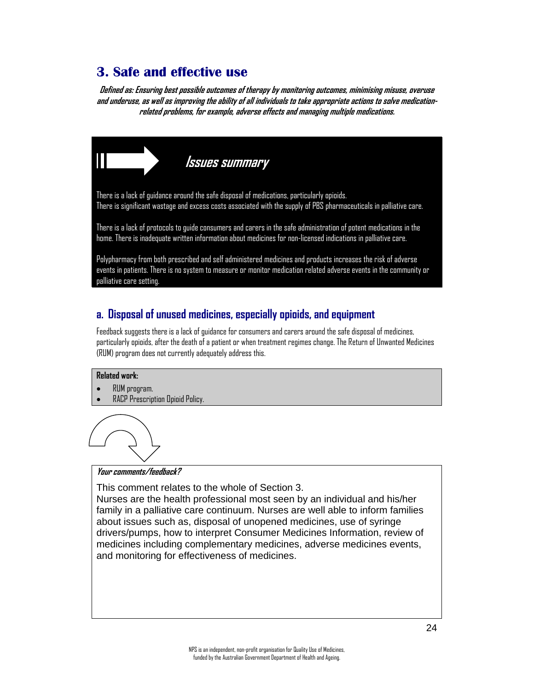# **3. Safe and effective use**

**Defined as: Ensuring best possible outcomes of therapy by monitoring outcomes, minimising misuse, overuse and underuse, as well as improving the ability of all individuals to take appropriate actions to solve medicationrelated problems, for example, adverse effects and managing multiple medications.** 

| Issues summary                                                                                                                                                                                                                                                 |  |
|----------------------------------------------------------------------------------------------------------------------------------------------------------------------------------------------------------------------------------------------------------------|--|
| There is a lack of guidance around the safe disposal of medications, particularly opioids.<br>There is significant wastage and excess costs associated with the supply of PBS pharmaceuticals in palliative care.                                              |  |
| There is a lack of protocols to quide consumers and carers in the safe administration of potent medications in the<br>home. There is inadequate written information about medicines for non-licensed indications in palliative care.                           |  |
| Polypharmacy from both prescribed and self administered medicines and products increases the risk of adverse<br>events in patients. There is no system to measure or monitor medication related adverse events in the community or<br>palliative care setting. |  |
| a. Disposal of unused medicines, especially opioids, and equipment                                                                                                                                                                                             |  |

Feedback suggests there is a lack of guidance for consumers and carers around the safe disposal of medicines, particularly opioids, after the death of a patient or when treatment regimes change. The Return of Unwanted Medicines (RUM) program does not currently adequately address this.

**Related work:**  • RUM program. • RACP Prescription Opioid Policy.



#### **Your comments/feedback?**

This comment relates to the whole of Section 3.

Nurses are the health professional most seen by an individual and his/her family in a palliative care continuum. Nurses are well able to inform families about issues such as, disposal of unopened medicines, use of syringe drivers/pumps, how to interpret Consumer Medicines Information, review of medicines including complementary medicines, adverse medicines events, and monitoring for effectiveness of medicines.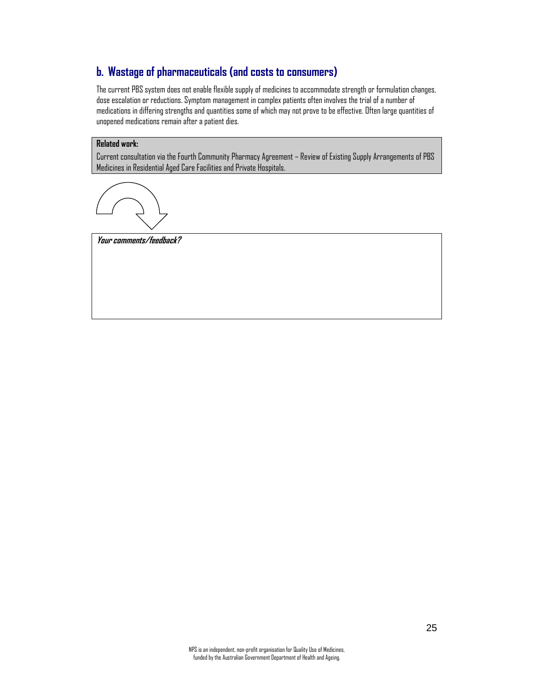## **b. Wastage of pharmaceuticals (and costs to consumers)**

The current PBS system does not enable flexible supply of medicines to accommodate strength or formulation changes, dose escalation or reductions. Symptom management in complex patients often involves the trial of a number of medications in differing strengths and quantities some of which may not prove to be effective. Often large quantities of unopened medications remain after a patient dies.

#### **Related work:**

Current consultation via the Fourth Community Pharmacy Agreement – Review of Existing Supply Arrangements of PBS Medicines in Residential Aged Care Facilities and Private Hospitals.



**Your comments/feedback?**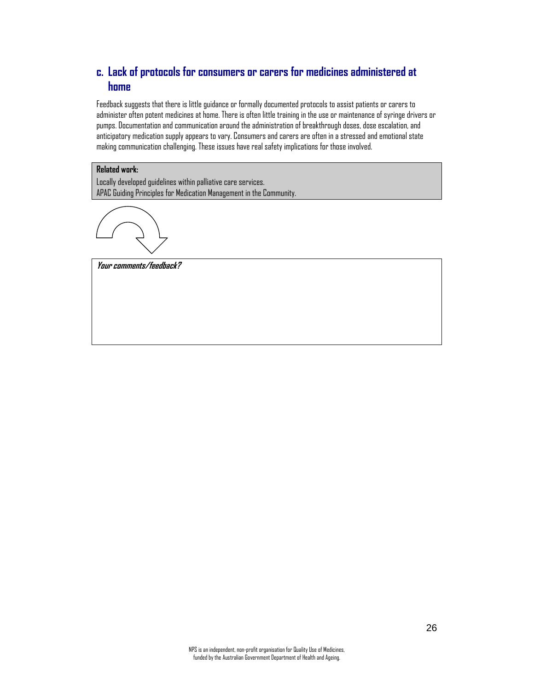#### **c. Lack of protocols for consumers or carers for medicines administered at home**

Feedback suggests that there is little guidance or formally documented protocols to assist patients or carers to administer often potent medicines at home. There is often little training in the use or maintenance of syringe drivers or pumps. Documentation and communication around the administration of breakthrough doses, dose escalation, and anticipatory medication supply appears to vary. Consumers and carers are often in a stressed and emotional state making communication challenging. These issues have real safety implications for those involved.

#### **Related work:**

Locally developed guidelines within palliative care services. APAC Guiding Principles for Medication Management in the Community.

**Your comments/feedback?**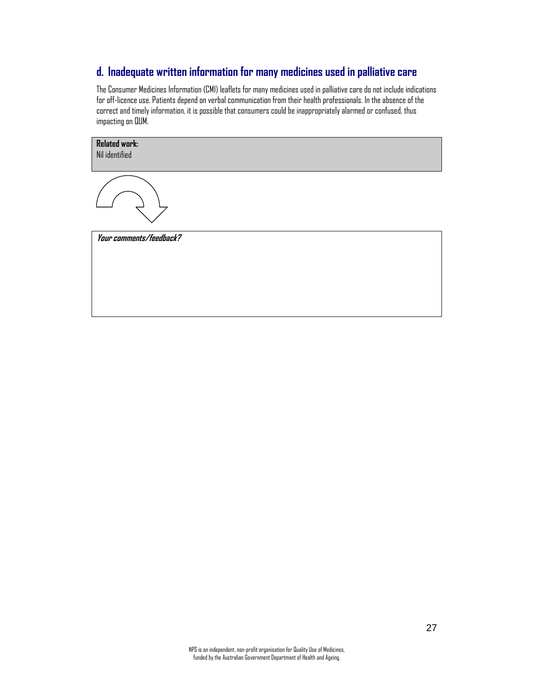## **d. Inadequate written information for many medicines used in palliative care**

The Consumer Medicines Information (CMI) leaflets for many medicines used in palliative care do not include indications for off-licence use. Patients depend on verbal communication from their health professionals. In the absence of the correct and timely information, it is possible that consumers could be inappropriately alarmed or confused, thus impacting on QUM.

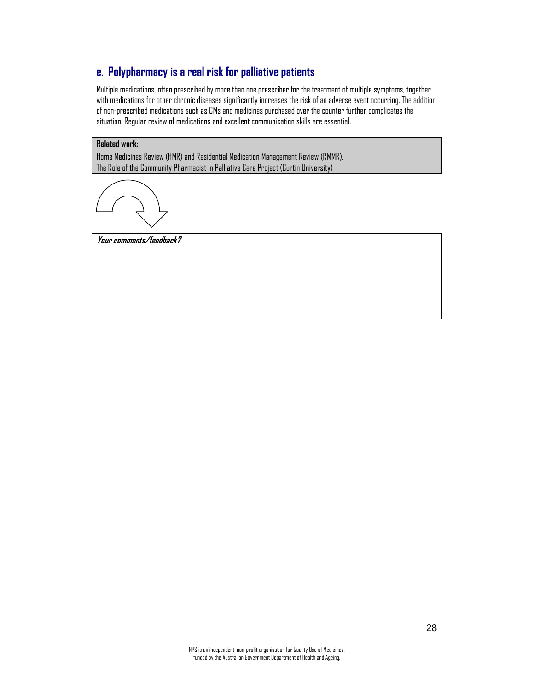## **e. Polypharmacy is a real risk for palliative patients**

Multiple medications, often prescribed by more than one prescriber for the treatment of multiple symptoms, together with medications for other chronic diseases significantly increases the risk of an adverse event occurring. The addition of non-prescribed medications such as CMs and medicines purchased over the counter further complicates the situation. Regular review of medications and excellent communication skills are essential.

#### **Related work:**

Home Medicines Review (HMR) and Residential Medication Management Review (RMMR). The Role of the Community Pharmacist in Palliative Care Project (Curtin University)

**Your comments/feedback?**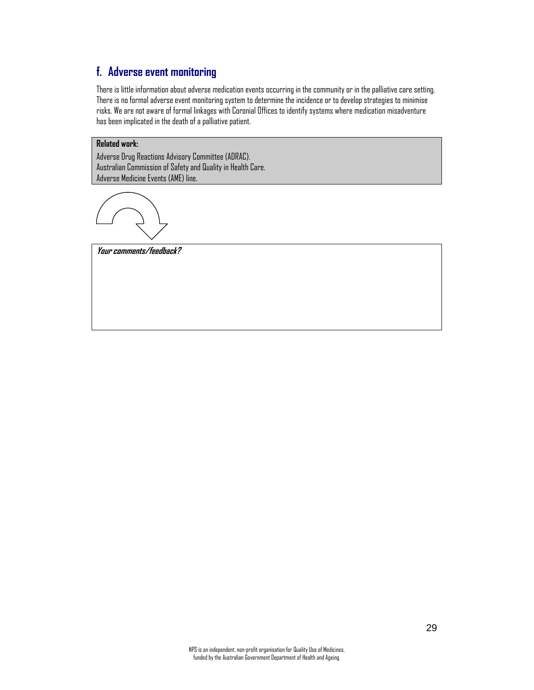#### **f. Adverse event monitoring**

There is little information about adverse medication events occurring in the community or in the palliative care setting. There is no formal adverse event monitoring system to determine the incidence or to develop strategies to minimise risks. We are not aware of formal linkages with Coronial Offices to identify systems where medication misadventure has been implicated in the death of a palliative patient.

#### **Related work:**

Adverse Drug Reactions Advisory Committee (ADRAC). Australian Commission of Safety and Quality in Health Care. Adverse Medicine Events (AME) line.

**Your comments/feedback?**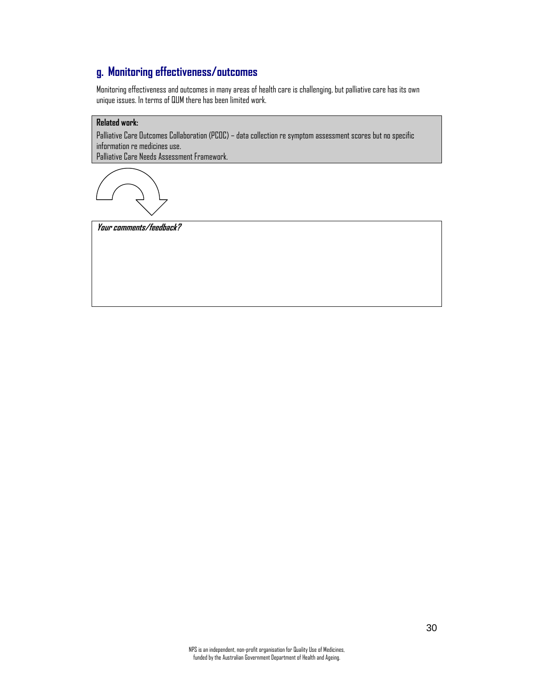## **g. Monitoring effectiveness/outcomes**

Monitoring effectiveness and outcomes in many areas of health care is challenging, but palliative care has its own unique issues. In terms of QUM there has been limited work.

#### **Related work:**

Palliative Care Outcomes Collaboration (PCOC) – data collection re symptom assessment scores but no specific information re medicines use.

Palliative Care Needs Assessment Framework.



**Your comments/feedback?**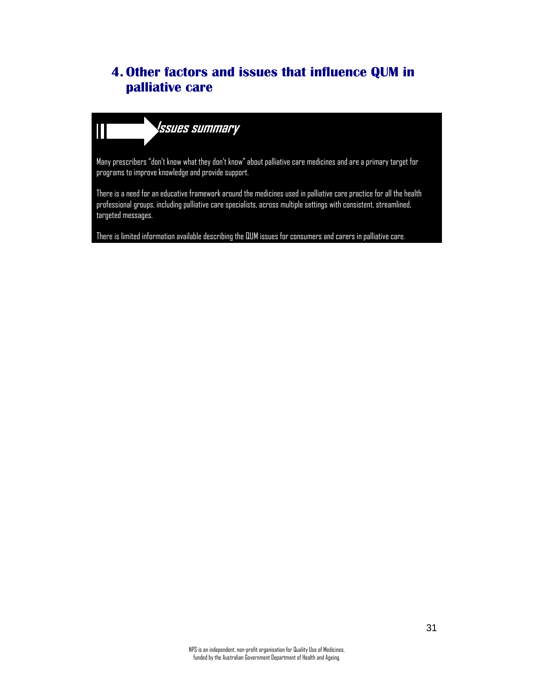# **4. Other factors and issues that influence QUM in palliative care**

# **Issues summary**

Many prescribers "don't know what they don't know" about palliative care medicines and are a primary target for programs to improve knowledge and provide support.

There is a need for an educative framework around the medicines used in palliative care practice for all the health professional groups, including palliative care specialists, across multiple settings with consistent, streamlined, targeted messages.

There is limited information available describing the QUM issues for consumers and carers in palliative care.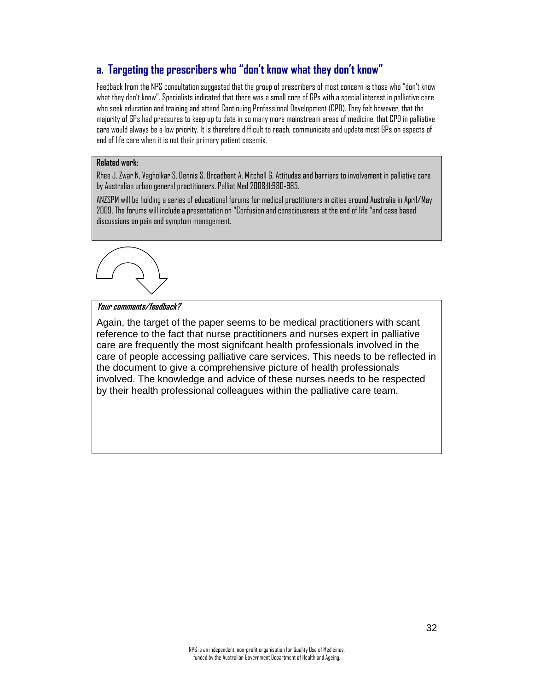## **a. Targeting the prescribers who "don't know what they don't know"**

Feedback from the NPS consultation suggested that the group of prescribers of most concern is those who "don't know what they don't know". Specialists indicated that there was a small core of GPs with a special interest in palliative care who seek education and training and attend Continuing Professional Development (CPD). They felt however, that the majority of GPs had pressures to keep up to date in so many more mainstream areas of medicine, that CPD in palliative care would always be a low priority. It is therefore difficult to reach, communicate and update most GPs on aspects of end of life care when it is not their primary patient casemix.

#### **Related work:**

Rhee J, Zwar N, Vagholkar S, Dennis S, Broadbent A, Mitchell G. Attitudes and barriers to involvement in palliative care by Australian urban general practitioners. Palliat Med 2008;11:980-985.

ANZSPM will be holding a series of educational forums for medical practitioners in cities around Australia in April/May 2009. The forums will include a presentation on "Confusion and consciousness at the end of life "and case based discussions on pain and symptom management.



**Your comments/feedback?** 

Again, the target of the paper seems to be medical practitioners with scant reference to the fact that nurse practitioners and nurses expert in palliative care are frequently the most signifcant health professionals involved in the care of people accessing palliative care services. This needs to be reflected in the document to give a comprehensive picture of health professionals involved. The knowledge and advice of these nurses needs to be respected by their health professional colleagues within the palliative care team.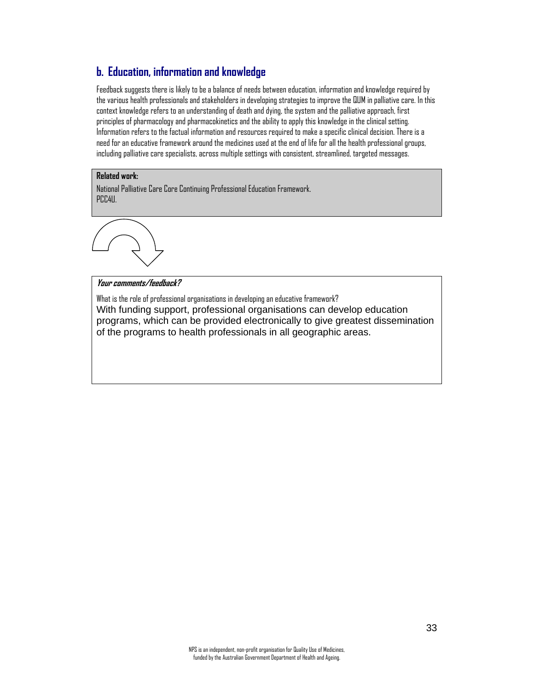## **b. Education, information and knowledge**

Feedback suggests there is likely to be a balance of needs between education, information and knowledge required by the various health professionals and stakeholders in developing strategies to improve the QUM in palliative care. In this context knowledge refers to an understanding of death and dying, the system and the palliative approach, first principles of pharmacology and pharmacokinetics and the ability to apply this knowledge in the clinical setting. Information refers to the factual information and resources required to make a specific clinical decision. There is a need for an educative framework around the medicines used at the end of life for all the health professional groups, including palliative care specialists, across multiple settings with consistent, streamlined, targeted messages.

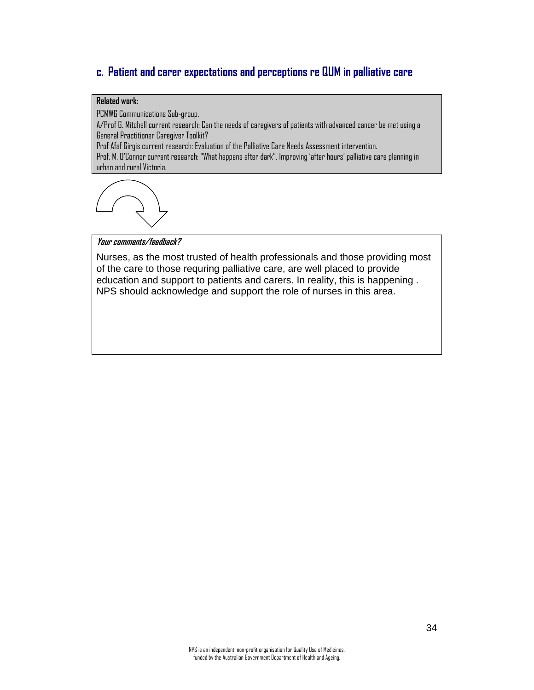## **c. Patient and carer expectations and perceptions re QUM in palliative care**

#### **Related work:**

PCMWG Communications Sub-group.

A/Prof G. Mitchell current research: Can the needs of caregivers of patients with advanced cancer be met using a General Practitioner Caregiver Toolkit?

Prof Afaf Girgis current research: Evaluation of the Palliative Care Needs Assessment intervention.

Prof. M. O'Connor current research: "What happens after dark". Improving 'after hours' palliative care planning in urban and rural Victoria.



**Your comments/feedback?** 

Nurses, as the most trusted of health professionals and those providing most of the care to those requring palliative care, are well placed to provide education and support to patients and carers. In reality, this is happening . NPS should acknowledge and support the role of nurses in this area.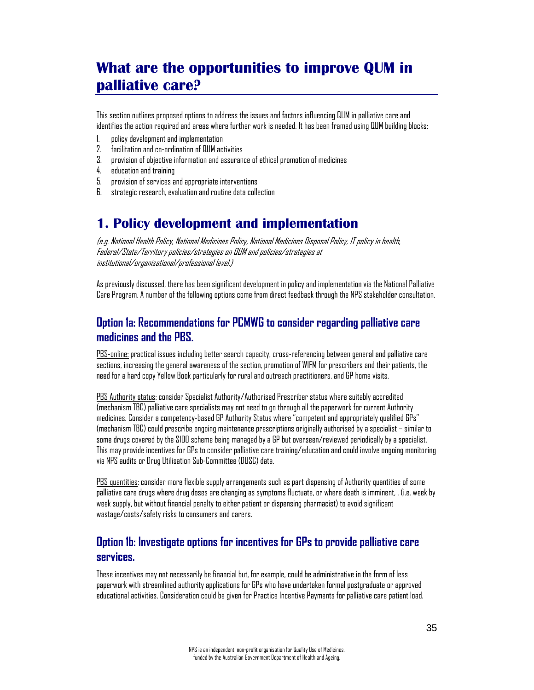# **What are the opportunities to improve QUM in palliative care?**

This section outlines proposed options to address the issues and factors influencing QUM in palliative care and identifies the action required and areas where further work is needed. It has been framed using QUM building blocks:

- 1. policy development and implementation
- 2. facilitation and co-ordination of QUM activities
- 3. provision of objective information and assurance of ethical promotion of medicines
- 4. education and training
- 5. provision of services and appropriate interventions
- 6. strategic research, evaluation and routine data collection

#### **1. Policy development and implementation**

(e.g. National Health Policy, National Medicines Policy, National Medicines Disposal Policy, IT policy in health, Federal/State/Territory policies/strategies on QUM and policies/strategies at institutional/organisational/professional level.)

As previously discussed, there has been significant development in policy and implementation via the National Palliative Care Program. A number of the following options come from direct feedback through the NPS stakeholder consultation.

#### **Option 1a: Recommendations for PCMWG to consider regarding palliative care medicines and the PBS.**

PBS-online: practical issues including better search capacity, cross-referencing between general and palliative care sections, increasing the general awareness of the section, promotion of WIFM for prescribers and their patients, the need for a hard copy Yellow Book particularly for rural and outreach practitioners, and GP home visits.

PBS Authority status: consider Specialist Authority/Authorised Prescriber status where suitably accredited (mechanism TBC) palliative care specialists may not need to go through all the paperwork for current Authority medicines. Consider a competency-based GP Authority Status where "competent and appropriately qualified GPs" (mechanism TBC) could prescribe ongoing maintenance prescriptions originally authorised by a specialist – similar to some drugs covered by the S100 scheme being managed by a GP but overseen/reviewed periodically by a specialist. This may provide incentives for GPs to consider palliative care training/education and could involve ongoing monitoring via NPS audits or Drug Utilisation Sub-Committee (DUSC) data.

PBS quantities: consider more flexible supply arrangements such as part dispensing of Authority quantities of some palliative care drugs where drug doses are changing as symptoms fluctuate, or where death is imminent, . (i.e. week by week supply, but without financial penalty to either patient or dispensing pharmacist) to avoid significant wastage/costs/safety risks to consumers and carers.

#### **Option 1b: Investigate options for incentives for GPs to provide palliative care services.**

These incentives may not necessarily be financial but, for example, could be administrative in the form of less paperwork with streamlined authority applications for GPs who have undertaken formal postgraduate or approved educational activities. Consideration could be given for Practice Incentive Payments for palliative care patient load.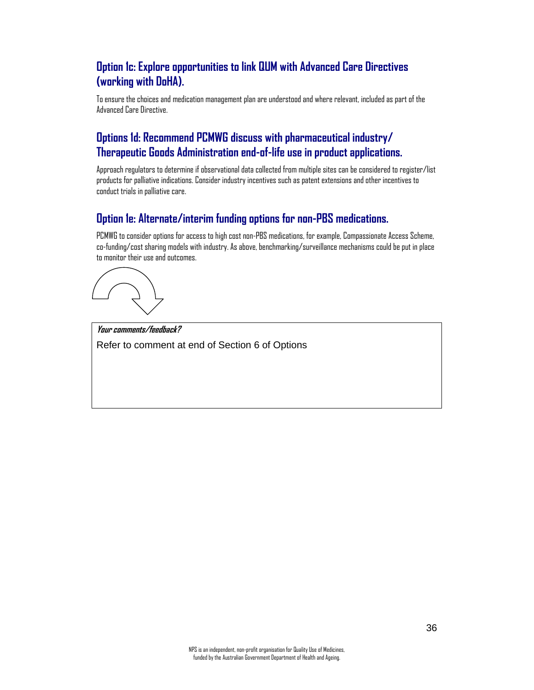## **Option 1c: Explore opportunities to link QUM with Advanced Care Directives (working with DoHA).**

To ensure the choices and medication management plan are understood and where relevant, included as part of the Advanced Care Directive.

## **Options 1d: Recommend PCMWG discuss with pharmaceutical industry/ Therapeutic Goods Administration end-of-life use in product applications.**

Approach regulators to determine if observational data collected from multiple sites can be considered to register/list products for palliative indications. Consider industry incentives such as patent extensions and other incentives to conduct trials in palliative care.

## **Option 1e: Alternate/interim funding options for non-PBS medications.**

PCMWG to consider options for access to high cost non-PBS medications, for example, Compassionate Access Scheme, co-funding/cost sharing models with industry. As above, benchmarking/surveillance mechanisms could be put in place to monitor their use and outcomes.

**Your comments/feedback?**  Refer to comment at end of Section 6 of Options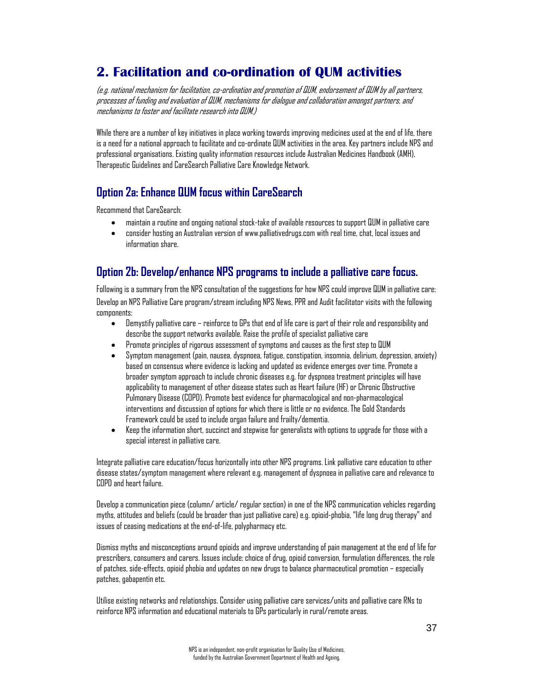# **2. Facilitation and co-ordination of QUM activities**

(e.g. national mechanism for facilitation, co-ordination and promotion of QUM, endorsement of QUM by all partners, processes of funding and evaluation of QUM, mechanisms for dialogue and collaboration amongst partners, and mechanisms to foster and facilitate research into QUM.)

While there are a number of key initiatives in place working towards improving medicines used at the end of life, there is a need for a national approach to facilitate and co-ordinate QUM activities in the area. Key partners include NPS and professional organisations. Existing quality information resources include Australian Medicines Handbook (AMH), Therapeutic Guidelines and CareSearch Palliative Care Knowledge Network.

## **Option 2a: Enhance QUM focus within CareSearch**

Recommend that CareSearch:

- maintain a routine and ongoing national stock-take of available resources to support QUM in palliative care
- consider hosting an Australian version of www.palliativedrugs.com with real time, chat, local issues and information share.

#### **Option 2b: Develop/enhance NPS programs to include a palliative care focus.**

Following is a summary from the NPS consultation of the suggestions for how NPS could improve QUM in palliative care: Develop an NPS Palliative Care program/stream including NPS News, PPR and Audit facilitator visits with the following components:

- Demystify palliative care reinforce to GPs that end of life care is part of their role and responsibility and describe the support networks available. Raise the profile of specialist palliative care
- Promote principles of rigorous assessment of symptoms and causes as the first step to QUM
- Symptom management (pain, nausea, dyspnoea, fatigue, constipation, insomnia, delirium, depression, anxiety) based on consensus where evidence is lacking and updated as evidence emerges over time. Promote a broader symptom approach to include chronic diseases e.g. for dyspnoea treatment principles will have applicability to management of other disease states such as Heart failure (HF) or Chronic Obstructive Pulmonary Disease (COPD). Promote best evidence for pharmacological and non-pharmacological interventions and discussion of options for which there is little or no evidence. The Gold Standards Framework could be used to include organ failure and frailty/dementia.
- Keep the information short, succinct and stepwise for generalists with options to upgrade for those with a special interest in palliative care.

Integrate palliative care education/focus horizontally into other NPS programs. Link palliative care education to other disease states/symptom management where relevant e.g. management of dyspnoea in palliative care and relevance to COPD and heart failure.

Develop a communication piece (column/ article/ regular section) in one of the NPS communication vehicles regarding myths, attitudes and beliefs (could be broader than just palliative care) e.g. opioid-phobia, "life long drug therapy" and issues of ceasing medications at the end-of-life, polypharmacy etc.

Dismiss myths and misconceptions around opioids and improve understanding of pain management at the end of life for prescribers, consumers and carers. Issues include: choice of drug, opioid conversion, formulation differences, the role of patches, side-effects, opioid phobia and updates on new drugs to balance pharmaceutical promotion – especially patches, gabapentin etc.

Utilise existing networks and relationships. Consider using palliative care services/units and palliative care RNs to reinforce NPS information and educational materials to GPs particularly in rural/remote areas.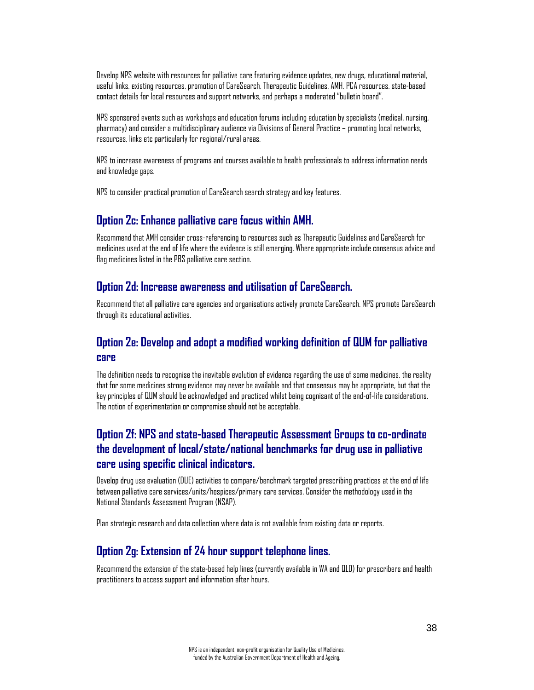Develop NPS website with resources for palliative care featuring evidence updates, new drugs, educational material, useful links, existing resources, promotion of CareSearch, Therapeutic Guidelines, AMH, PCA resources, state-based contact details for local resources and support networks, and perhaps a moderated "bulletin board".

NPS sponsored events such as workshops and education forums including education by specialists (medical, nursing, pharmacy) and consider a multidisciplinary audience via Divisions of General Practice – promoting local networks, resources, links etc particularly for regional/rural areas.

NPS to increase awareness of programs and courses available to health professionals to address information needs and knowledge gaps.

NPS to consider practical promotion of CareSearch search strategy and key features.

#### **Option 2c: Enhance palliative care focus within AMH.**

Recommend that AMH consider cross-referencing to resources such as Therapeutic Guidelines and CareSearch for medicines used at the end of life where the evidence is still emerging. Where appropriate include consensus advice and flag medicines listed in the PBS palliative care section.

#### **Option 2d: Increase awareness and utilisation of CareSearch.**

Recommend that all palliative care agencies and organisations actively promote CareSearch. NPS promote CareSearch through its educational activities.

#### **Option 2e: Develop and adopt a modified working definition of QUM for palliative care**

The definition needs to recognise the inevitable evolution of evidence regarding the use of some medicines, the reality that for some medicines strong evidence may never be available and that consensus may be appropriate, but that the key principles of QUM should be acknowledged and practiced whilst being cognisant of the end-of-life considerations. The notion of experimentation or compromise should not be acceptable.

## **Option 2f: NPS and state-based Therapeutic Assessment Groups to co-ordinate the development of local/state/national benchmarks for drug use in palliative care using specific clinical indicators.**

Develop drug use evaluation (DUE) activities to compare/benchmark targeted prescribing practices at the end of life between palliative care services/units/hospices/primary care services. Consider the methodology used in the National Standards Assessment Program (NSAP).

Plan strategic research and data collection where data is not available from existing data or reports.

#### **Option 2g: Extension of 24 hour support telephone lines.**

Recommend the extension of the state-based help lines (currently available in WA and QLD) for prescribers and health practitioners to access support and information after hours.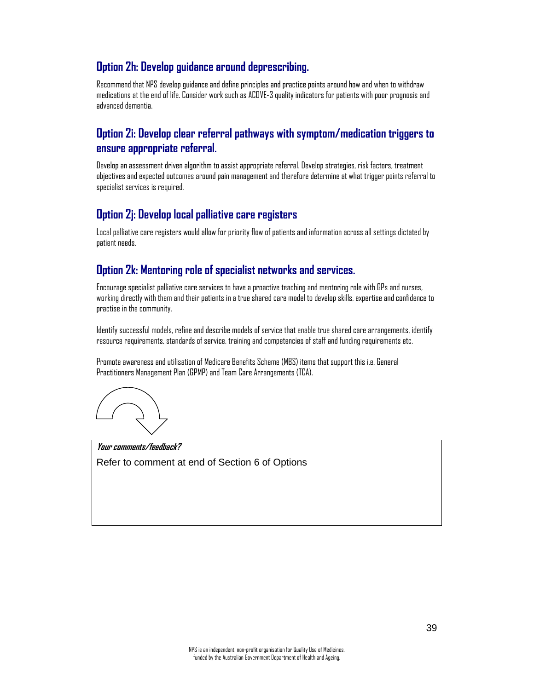#### **Option 2h: Develop guidance around deprescribing.**

Recommend that NPS develop guidance and define principles and practice points around how and when to withdraw medications at the end of life. Consider work such as ACOVE-3 quality indicators for patients with poor prognosis and advanced dementia.

#### **Option 2i: Develop clear referral pathways with symptom/medication triggers to ensure appropriate referral.**

Develop an assessment driven algorithm to assist appropriate referral. Develop strategies, risk factors, treatment objectives and expected outcomes around pain management and therefore determine at what trigger points referral to specialist services is required.

#### **Option 2j: Develop local palliative care registers**

Local palliative care registers would allow for priority flow of patients and information across all settings dictated by patient needs.

#### **Option 2k: Mentoring role of specialist networks and services.**

Encourage specialist palliative care services to have a proactive teaching and mentoring role with GPs and nurses, working directly with them and their patients in a true shared care model to develop skills, expertise and confidence to practise in the community.

Identify successful models, refine and describe models of service that enable true shared care arrangements, identify resource requirements, standards of service, training and competencies of staff and funding requirements etc.

Promote awareness and utilisation of Medicare Benefits Scheme (MBS) items that support this i.e. General Practitioners Management Plan (GPMP) and Team Care Arrangements (TCA).

**Your comments/feedback?**  Refer to comment at end of Section 6 of Options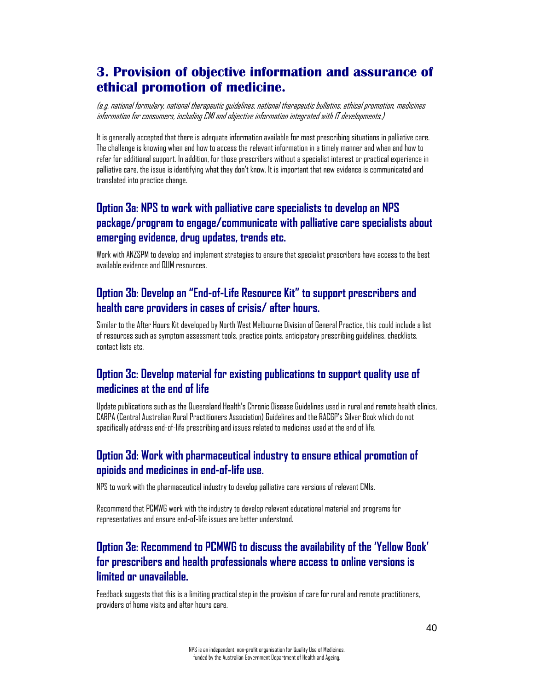# **3. Provision of objective information and assurance of ethical promotion of medicine.**

(e.g. national formulary, national therapeutic guidelines, national therapeutic bulletins, ethical promotion, medicines information for consumers, including CMI and objective information integrated with IT developments.)

It is generally accepted that there is adequate information available for most prescribing situations in palliative care. The challenge is knowing when and how to access the relevant information in a timely manner and when and how to refer for additional support. In addition, for those prescribers without a specialist interest or practical experience in palliative care, the issue is identifying what they don't know. It is important that new evidence is communicated and translated into practice change.

## **Option 3a: NPS to work with palliative care specialists to develop an NPS package/program to engage/communicate with palliative care specialists about emerging evidence, drug updates, trends etc.**

Work with ANZSPM to develop and implement strategies to ensure that specialist prescribers have access to the best available evidence and QUM resources.

## **Option 3b: Develop an "End-of-Life Resource Kit" to support prescribers and health care providers in cases of crisis/ after hours.**

Similar to the After Hours Kit developed by North West Melbourne Division of General Practice, this could include a list of resources such as symptom assessment tools, practice points, anticipatory prescribing guidelines, checklists, contact lists etc.

#### **Option 3c: Develop material for existing publications to support quality use of medicines at the end of life**

Update publications such as the Queensland Health's Chronic Disease Guidelines used in rural and remote health clinics, CARPA (Central Australian Rural Practitioners Association) Guidelines and the RACGP's Silver Book which do not specifically address end-of-life prescribing and issues related to medicines used at the end of life.

#### **Option 3d: Work with pharmaceutical industry to ensure ethical promotion of opioids and medicines in end-of-life use.**

NPS to work with the pharmaceutical industry to develop palliative care versions of relevant CMIs.

Recommend that PCMWG work with the industry to develop relevant educational material and programs for representatives and ensure end-of-life issues are better understood.

## **Option 3e: Recommend to PCMWG to discuss the availability of the 'Yellow Book' for prescribers and health professionals where access to online versions is limited or unavailable.**

Feedback suggests that this is a limiting practical step in the provision of care for rural and remote practitioners, providers of home visits and after hours care.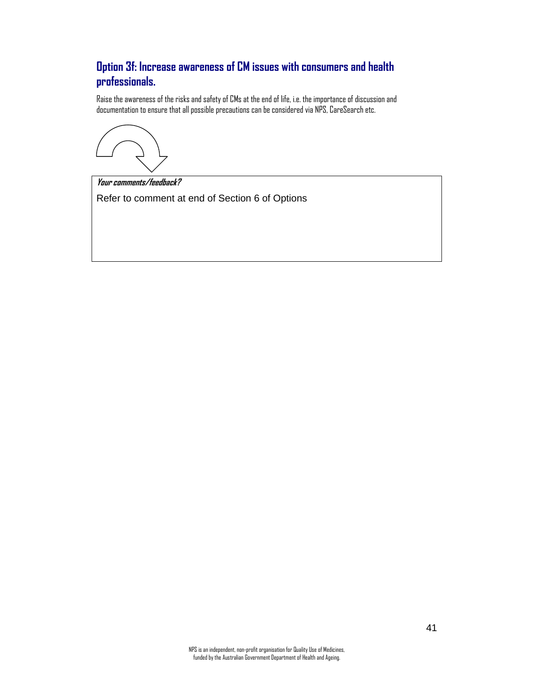## **Option 3f: Increase awareness of CM issues with consumers and health professionals.**

Raise the awareness of the risks and safety of CMs at the end of life, i.e. the importance of discussion and documentation to ensure that all possible precautions can be considered via NPS, CareSearch etc.



**Your comments/feedback?**  Refer to comment at end of Section 6 of Options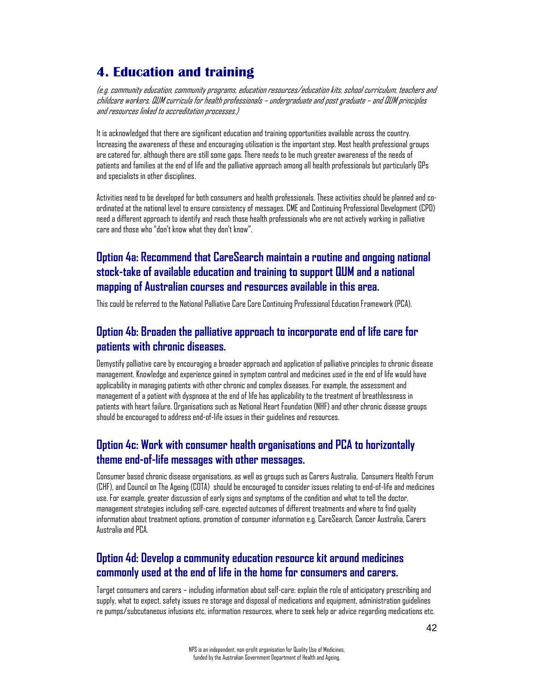# **4. Education and training**

(e.g. community education, community programs, education resources/education kits, school curriculum, teachers and childcare workers, QUM curricula for health professionals – undergraduate and post graduate – and QUM principles and resources linked to accreditation processes.)

It is acknowledged that there are significant education and training opportunities available across the country. Increasing the awareness of these and encouraging utilisation is the important step. Most health professional groups are catered for, although there are still some gaps. There needs to be much greater awareness of the needs of patients and families at the end of life and the palliative approach among all health professionals but particularly GPs and specialists in other disciplines.

Activities need to be developed for both consumers and health professionals. These activities should be planned and coordinated at the national level to ensure consistency of messages. CME and Continuing Professional Development (CPD) need a different approach to identify and reach those health professionals who are not actively working in palliative care and those who "don't know what they don't know".

## **Option 4a: Recommend that CareSearch maintain a routine and ongoing national stock-take of available education and training to support QUM and a national mapping of Australian courses and resources available in this area.**

This could be referred to the National Palliative Care Core Continuing Professional Education Framework (PCA).

#### **Option 4b: Broaden the palliative approach to incorporate end of life care for patients with chronic diseases.**

Demystify palliative care by encouraging a broader approach and application of palliative principles to chronic disease management. Knowledge and experience gained in symptom control and medicines used in the end of life would have applicability in managing patients with other chronic and complex diseases. For example, the assessment and management of a patient with dyspnoea at the end of life has applicability to the treatment of breathlessness in patients with heart failure. Organisations such as National Heart Foundation (NHF) and other chronic disease groups should be encouraged to address end-of-life issues in their guidelines and resources.

#### **Option 4c: Work with consumer health organisations and PCA to horizontally theme end-of-life messages with other messages.**

Consumer based chronic disease organisations, as well as groups such as Carers Australia, Consumers Health Forum (CHF), and Council on The Ageing (COTA) should be encouraged to consider issues relating to end-of-life and medicines use. For example, greater discussion of early signs and symptoms of the condition and what to tell the doctor, management strategies including self-care, expected outcomes of different treatments and where to find quality information about treatment options, promotion of consumer information e.g. CareSearch, Cancer Australia, Carers Australia and PCA.

## **Option 4d: Develop a community education resource kit around medicines commonly used at the end of life in the home for consumers and carers.**

Target consumers and carers – including information about self-care: explain the role of anticipatory prescribing and supply, what to expect, safety issues re storage and disposal of medications and equipment, administration guidelines re pumps/subcutaneous infusions etc, information resources, where to seek help or advice regarding medications etc.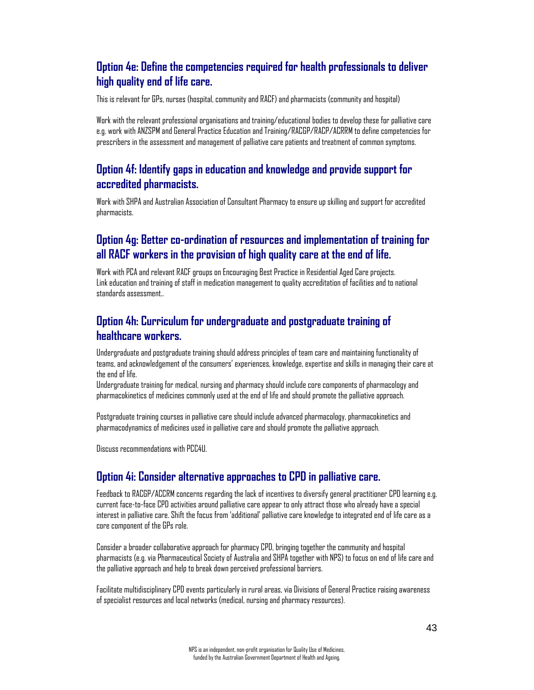## **Option 4e: Define the competencies required for health professionals to deliver high quality end of life care.**

This is relevant for GPs, nurses (hospital, community and RACF) and pharmacists (community and hospital)

Work with the relevant professional organisations and training/educational bodies to develop these for palliative care e.g. work with ANZSPM and General Practice Education and Training/RACGP/RACP/ACRRM to define competencies for prescribers in the assessment and management of palliative care patients and treatment of common symptoms.

#### **Option 4f: Identify gaps in education and knowledge and provide support for accredited pharmacists.**

Work with SHPA and Australian Association of Consultant Pharmacy to ensure up skilling and support for accredited pharmacists.

## **Option 4g: Better co-ordination of resources and implementation of training for all RACF workers in the provision of high quality care at the end of life.**

Work with PCA and relevant RACF groups on Encouraging Best Practice in Residential Aged Care projects. Link education and training of staff in medication management to quality accreditation of facilities and to national standards assessment..

#### **Option 4h: Curriculum for undergraduate and postgraduate training of healthcare workers.**

Undergraduate and postgraduate training should address principles of team care and maintaining functionality of teams, and acknowledgement of the consumers' experiences, knowledge, expertise and skills in managing their care at the end of life.

Undergraduate training for medical, nursing and pharmacy should include core components of pharmacology and pharmacokinetics of medicines commonly used at the end of life and should promote the palliative approach.

Postgraduate training courses in palliative care should include advanced pharmacology, pharmacokinetics and pharmacodynamics of medicines used in palliative care and should promote the palliative approach.

Discuss recommendations with PCC4U.

#### **Option 4i: Consider alternative approaches to CPD in palliative care.**

Feedback to RACGP/ACCRM concerns regarding the lack of incentives to diversify general practitioner CPD learning e.g. current face-to-face CPD activities around palliative care appear to only attract those who already have a special interest in palliative care. Shift the focus from 'additional' palliative care knowledge to integrated end of life care as a core component of the GPs role.

Consider a broader collaborative approach for pharmacy CPD, bringing together the community and hospital pharmacists (e.g. via Pharmaceutical Society of Australia and SHPA together with NPS) to focus on end of life care and the palliative approach and help to break down perceived professional barriers.

Facilitate multidisciplinary CPD events particularly in rural areas, via Divisions of General Practice raising awareness of specialist resources and local networks (medical, nursing and pharmacy resources).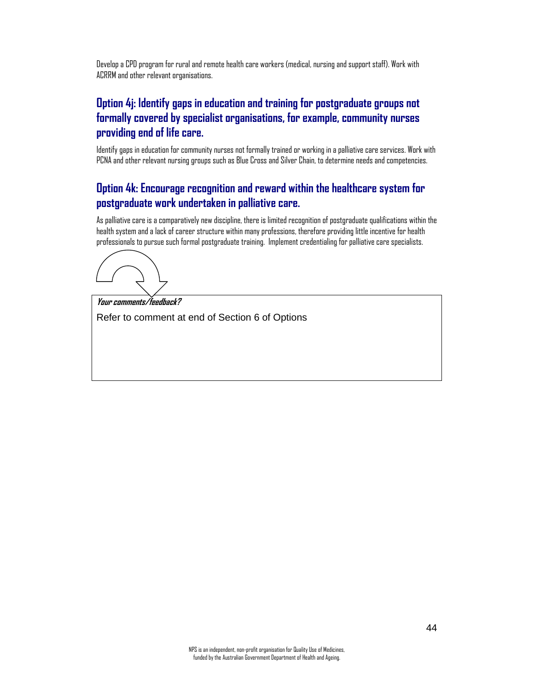Develop a CPD program for rural and remote health care workers (medical, nursing and support staff). Work with ACRRM and other relevant organisations.

## **Option 4j: Identify gaps in education and training for postgraduate groups not formally covered by specialist organisations, for example, community nurses providing end of life care.**

Identify gaps in education for community nurses not formally trained or working in a palliative care services. Work with PCNA and other relevant nursing groups such as Blue Cross and Silver Chain, to determine needs and competencies.

#### **Option 4k: Encourage recognition and reward within the healthcare system for postgraduate work undertaken in palliative care.**

As palliative care is a comparatively new discipline, there is limited recognition of postgraduate qualifications within the health system and a lack of career structure within many professions, therefore providing little incentive for health professionals to pursue such formal postgraduate training. Implement credentialing for palliative care specialists.

**Your comments/feedback?**  Refer to comment at end of Section 6 of Options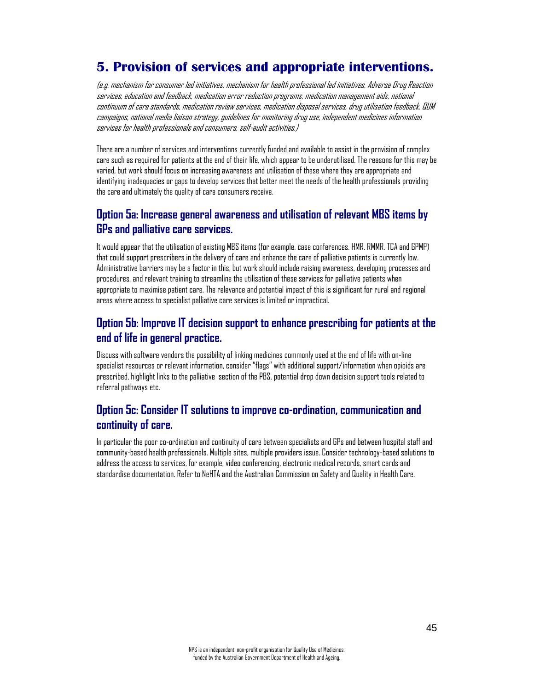# **5. Provision of services and appropriate interventions.**

(e.g. mechanism for consumer led initiatives, mechanism for health professional led initiatives, Adverse Drug Reaction services, education and feedback, medication error reduction programs, medication management aids, national continuum of care standards, medication review services, medication disposal services, drug utilisation feedback, QUM campaigns, national media liaison strategy, guidelines for monitoring drug use, independent medicines information services for health professionals and consumers, self-audit activities.)

There are a number of services and interventions currently funded and available to assist in the provision of complex care such as required for patients at the end of their life, which appear to be underutilised. The reasons for this may be varied, but work should focus on increasing awareness and utilisation of these where they are appropriate and identifying inadequacies or gaps to develop services that better meet the needs of the health professionals providing the care and ultimately the quality of care consumers receive.

## **Option 5a: Increase general awareness and utilisation of relevant MBS items by GPs and palliative care services.**

It would appear that the utilisation of existing MBS items (for example, case conferences, HMR, RMMR, TCA and GPMP) that could support prescribers in the delivery of care and enhance the care of palliative patients is currently low. Administrative barriers may be a factor in this, but work should include raising awareness, developing processes and procedures, and relevant training to streamline the utilisation of these services for palliative patients when appropriate to maximise patient care. The relevance and potential impact of this is significant for rural and regional areas where access to specialist palliative care services is limited or impractical.

#### **Option 5b: Improve IT decision support to enhance prescribing for patients at the end of life in general practice.**

Discuss with software vendors the possibility of linking medicines commonly used at the end of life with on-line specialist resources or relevant information, consider "flags" with additional support/information when opioids are prescribed, highlight links to the palliative section of the PBS, potential drop down decision support tools related to referral pathways etc.

#### **Option 5c: Consider IT solutions to improve co-ordination, communication and continuity of care.**

In particular the poor co-ordination and continuity of care between specialists and GPs and between hospital staff and community-based health professionals. Multiple sites, multiple providers issue. Consider technology-based solutions to address the access to services, for example, video conferencing, electronic medical records, smart cards and standardise documentation. Refer to NeHTA and the Australian Commission on Safety and Quality in Health Care.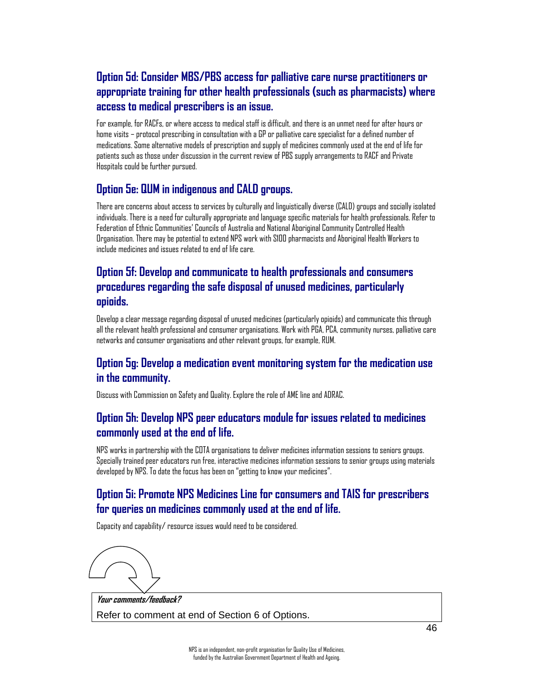## **Option 5d: Consider MBS/PBS access for palliative care nurse practitioners or appropriate training for other health professionals (such as pharmacists) where access to medical prescribers is an issue.**

For example, for RACFs, or where access to medical staff is difficult, and there is an unmet need for after hours or home visits – protocol prescribing in consultation with a GP or palliative care specialist for a defined number of medications. Some alternative models of prescription and supply of medicines commonly used at the end of life for patients such as those under discussion in the current review of PBS supply arrangements to RACF and Private Hospitals could be further pursued.

## **Option 5e: QUM in indigenous and CALD groups.**

There are concerns about access to services by culturally and linguistically diverse (CALD) groups and socially isolated individuals. There is a need for culturally appropriate and language specific materials for health professionals. Refer to Federation of Ethnic Communities' Councils of Australia and National Aboriginal Community Controlled Health Organisation. There may be potential to extend NPS work with S100 pharmacists and Aboriginal Health Workers to include medicines and issues related to end of life care.

## **Option 5f: Develop and communicate to health professionals and consumers procedures regarding the safe disposal of unused medicines, particularly opioids.**

Develop a clear message regarding disposal of unused medicines (particularly opioids) and communicate this through all the relevant health professional and consumer organisations. Work with PGA, PCA, community nurses, palliative care networks and consumer organisations and other relevant groups, for example, RUM.

## **Option 5g: Develop a medication event monitoring system for the medication use in the community.**

Discuss with Commission on Safety and Quality. Explore the role of AME line and ADRAC.

#### **Option 5h: Develop NPS peer educators module for issues related to medicines commonly used at the end of life.**

NPS works in partnership with the COTA organisations to deliver medicines information sessions to seniors groups. Specially trained peer educators run free, interactive medicines information sessions to senior groups using materials developed by NPS. To date the focus has been on "getting to know your medicines".

#### **Option 5i: Promote NPS Medicines Line for consumers and TAIS for prescribers for queries on medicines commonly used at the end of life.**

Capacity and capability/ resource issues would need to be considered.

**Your comments/feedback?**  Refer to comment at end of Section 6 of Options.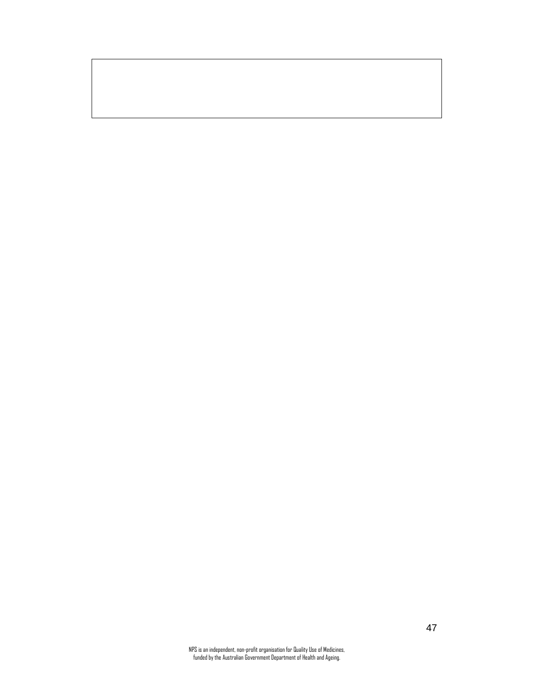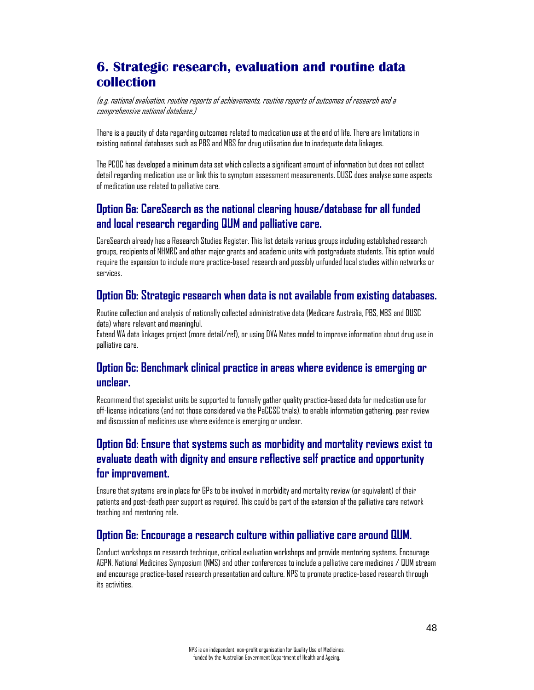# **6. Strategic research, evaluation and routine data collection**

(e.g. national evaluation, routine reports of achievements, routine reports of outcomes of research and a comprehensive national database.)

There is a paucity of data regarding outcomes related to medication use at the end of life. There are limitations in existing national databases such as PBS and MBS for drug utilisation due to inadequate data linkages.

The PCOC has developed a minimum data set which collects a significant amount of information but does not collect detail regarding medication use or link this to symptom assessment measurements. DUSC does analyse some aspects of medication use related to palliative care.

## **Option 6a: CareSearch as the national clearing house/database for all funded and local research regarding QUM and palliative care.**

CareSearch already has a Research Studies Register. This list details various groups including established research groups, recipients of NHMRC and other major grants and academic units with postgraduate students. This option would require the expansion to include more practice-based research and possibly unfunded local studies within networks or services.

#### **Option 6b: Strategic research when data is not available from existing databases.**

Routine collection and analysis of nationally collected administrative data (Medicare Australia, PBS, MBS and DUSC data) where relevant and meaningful.

Extend WA data linkages project (more detail/ref), or using DVA Mates model to improve information about drug use in palliative care.

#### **Option 6c: Benchmark clinical practice in areas where evidence is emerging or unclear.**

Recommend that specialist units be supported to formally gather quality practice-based data for medication use for off-license indications (and not those considered via the PaCCSC trials), to enable information gathering, peer review and discussion of medicines use where evidence is emerging or unclear.

## **Option 6d: Ensure that systems such as morbidity and mortality reviews exist to evaluate death with dignity and ensure reflective self practice and opportunity for improvement.**

Ensure that systems are in place for GPs to be involved in morbidity and mortality review (or equivalent) of their patients and post-death peer support as required. This could be part of the extension of the palliative care network teaching and mentoring role.

#### **Option 6e: Encourage a research culture within palliative care around QUM.**

Conduct workshops on research technique, critical evaluation workshops and provide mentoring systems. Encourage AGPN, National Medicines Symposium (NMS) and other conferences to include a palliative care medicines / QUM stream and encourage practice-based research presentation and culture. NPS to promote practice-based research through its activities.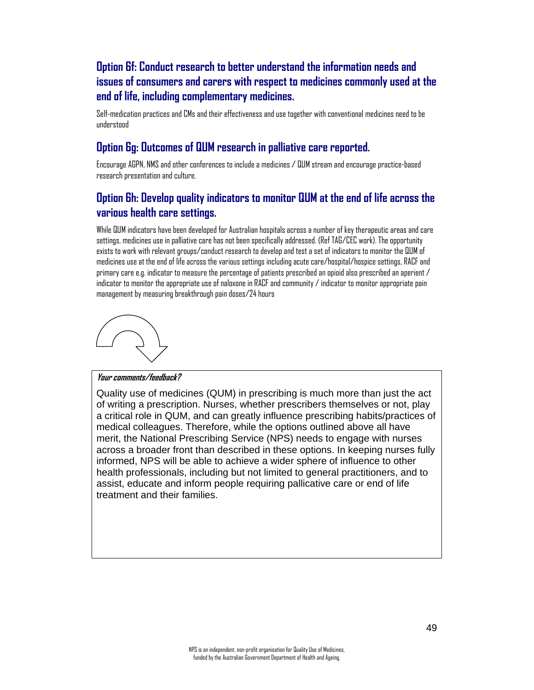## **Option 6f: Conduct research to better understand the information needs and issues of consumers and carers with respect to medicines commonly used at the end of life, including complementary medicines.**

Self-medication practices and CMs and their effectiveness and use together with conventional medicines need to be understood

## **Option 6g: Outcomes of QUM research in palliative care reported.**

Encourage AGPN, NMS and other conferences to include a medicines / QUM stream and encourage practice-based research presentation and culture.

#### **Option 6h: Develop quality indicators to monitor QUM at the end of life across the various health care settings.**

While QUM indicators have been developed for Australian hospitals across a number of key therapeutic areas and care settings, medicines use in palliative care has not been specifically addressed. (Ref TAG/CEC work). The opportunity exists to work with relevant groups/conduct research to develop and test a set of indicators to monitor the QUM of medicines use at the end of life across the various settings including acute care/hospital/hospice settings, RACF and primary care e.g. indicator to measure the percentage of patients prescribed an opioid also prescribed an aperient / indicator to monitor the appropriate use of naloxone in RACF and community / indicator to monitor appropriate pain management by measuring breakthrough pain doses/24 hours



#### **Your comments/feedback?**

Quality use of medicines (QUM) in prescribing is much more than just the act of writing a prescription. Nurses, whether prescribers themselves or not, play a critical role in QUM, and can greatly influence prescribing habits/practices of medical colleagues. Therefore, while the options outlined above all have merit, the National Prescribing Service (NPS) needs to engage with nurses across a broader front than described in these options. In keeping nurses fully informed, NPS will be able to achieve a wider sphere of influence to other health professionals, including but not limited to general practitioners, and to assist, educate and inform people requiring pallicative care or end of life treatment and their families.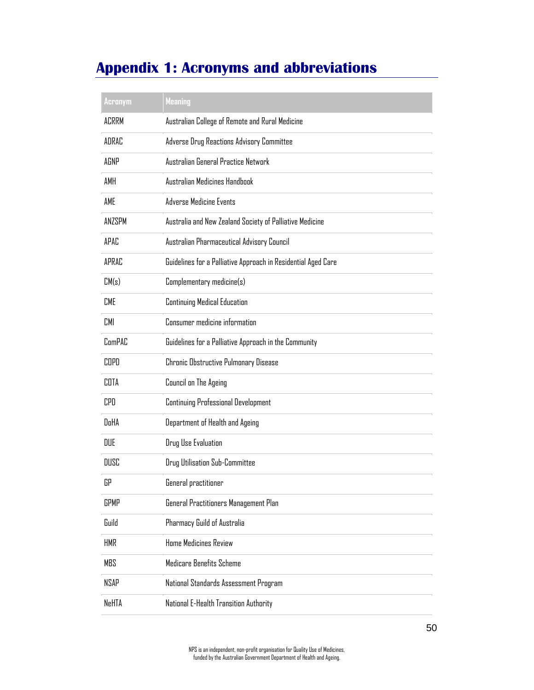# **Appendix 1: Acronyms and abbreviations**

| Acronym    | <b>Meaning</b>                                                |
|------------|---------------------------------------------------------------|
| ACRRM      | Australian College of Remote and Rural Medicine               |
| ADRAC      | Adverse Drug Reactions Advisory Committee                     |
| AGNP       | Australian General Practice Network                           |
| AMH        | Australian Medicines Handbook                                 |
| AME        | Adverse Medicine Events                                       |
| ANZSPM     | Australia and New Zealand Society of Palliative Medicine      |
| APAC       | Australian Pharmaceutical Advisory Council                    |
| APRAC      | Guidelines for a Palliative Approach in Residential Aged Care |
| CM(s)      | Complementary medicine(s)                                     |
| <b>CME</b> | <b>Continuing Medical Education</b>                           |
| CMI        | Consumer medicine information                                 |
| ComPAC     | Guidelines for a Palliative Approach in the Community         |
| COPD       | Chronic Obstructive Pulmonary Disease                         |
| COTA       | Council on The Ageing                                         |
| CPD        | Continuing Professional Development                           |
| DoHA       | Department of Health and Ageing                               |
| DUE        | Drug Use Evaluation                                           |
| DUSC       | Drug Utilisation Sub-Committee                                |
| GP         | General practitioner                                          |
| GPMP       | General Practitioners Management Plan                         |
| Guild      | Pharmacy Guild of Australia                                   |
| <b>HMR</b> | <b>Home Medicines Review</b>                                  |
| MBS        | Medicare Benefits Scheme                                      |
| NSAP       | National Standards Assessment Program                         |
| NeHTA      | National E-Health Transition Authority                        |